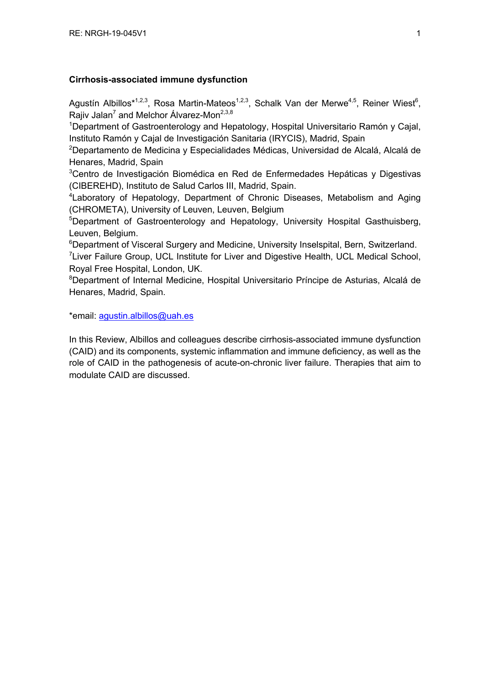## **Cirrhosis-associated immune dysfunction**

Agustín Albillos\*<sup>1,2,3</sup>, Rosa Martin-Mateos<sup>1,2,3</sup>, Schalk Van der Merwe<sup>4,5</sup>, Reiner Wiest<sup>6</sup>, Rajiv Jalan<sup>7</sup> and Melchor Álvarez-Mon<sup>2,3,8</sup>

<sup>1</sup>Department of Gastroenterology and Hepatology, Hospital Universitario Ramón y Cajal, Instituto Ramón y Cajal de Investigación Sanitaria (IRYCIS), Madrid, Spain

<sup>2</sup>Departamento de Medicina y Especialidades Médicas, Universidad de Alcalá, Alcalá de Henares, Madrid, Spain

<sup>3</sup>Centro de Investigación Biomédica en Red de Enfermedades Hepáticas y Digestivas (CIBEREHD), Instituto de Salud Carlos III, Madrid, Spain.

<sup>4</sup> Laboratory of Hepatology, Department of Chronic Diseases, Metabolism and Aging (CHROMETA), University of Leuven, Leuven, Belgium

<sup>5</sup>Department of Gastroenterology and Hepatology, University Hospital Gasthuisberg, Leuven, Belgium.

<sup>6</sup>Department of Visceral Surgery and Medicine, University Inselspital, Bern, Switzerland.

<sup>7</sup>Liver Failure Group, UCL Institute for Liver and Digestive Health, UCL Medical School, Royal Free Hospital, London, UK.

<sup>8</sup>Department of Internal Medicine, Hospital Universitario Príncipe de Asturias, Alcalá de Henares, Madrid, Spain.

\*email: agustin.albillos@uah.es

In this Review, Albillos and colleagues describe cirrhosis-associated immune dysfunction (CAID) and its components, systemic inflammation and immune deficiency, as well as the role of CAID in the pathogenesis of acute-on-chronic liver failure. Therapies that aim to modulate CAID are discussed.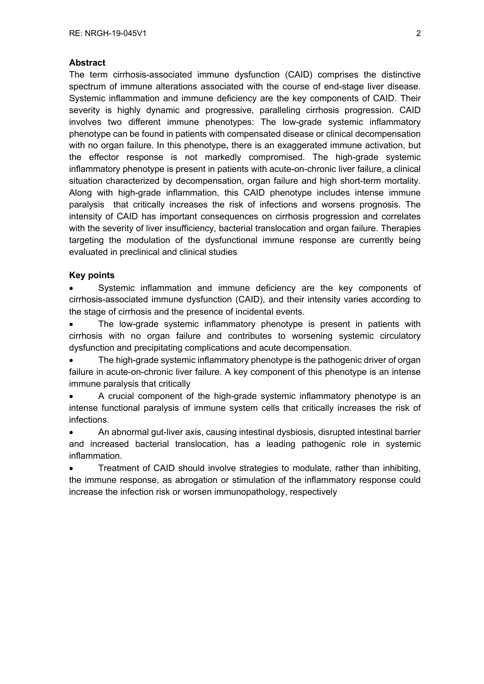## **Abstract**

The term cirrhosis-associated immune dysfunction (CAID) comprises the distinctive spectrum of immune alterations associated with the course of end-stage liver disease. Systemic inflammation and immune deficiency are the key components of CAID. Their severity is highly dynamic and progressive, paralleling cirrhosis progression. CAID involves two different immune phenotypes: The low-grade systemic inflammatory phenotype can be found in patients with compensated disease or clinical decompensation with no organ failure. In this phenotype**,** there is an exaggerated immune activation, but the effector response is not markedly compromised. The high-grade systemic inflammatory phenotype is present in patients with acute-on-chronic liver failure, a clinical situation characterized by decompensation, organ failure and high short-term mortality. Along with high-grade inflammation, this CAID phenotype includes intense immune paralysis that critically increases the risk of infections and worsens prognosis. The intensity of CAID has important consequences on cirrhosis progression and correlates with the severity of liver insufficiency, bacterial translocation and organ failure. Therapies targeting the modulation of the dysfunctional immune response are currently being evaluated in preclinical and clinical studies

## **Key points**

Systemic inflammation and immune deficiency are the key components of cirrhosis-associated immune dysfunction (CAID), and their intensity varies according to the stage of cirrhosis and the presence of incidental events.

The low-grade systemic inflammatory phenotype is present in patients with cirrhosis with no organ failure and contributes to worsening systemic circulatory dysfunction and precipitating complications and acute decompensation.

The high-grade systemic inflammatory phenotype is the pathogenic driver of organ failure in acute-on-chronic liver failure. A key component of this phenotype is an intense immune paralysis that critically

• A crucial component of the high-grade systemic inflammatory phenotype is an intense functional paralysis of immune system cells that critically increases the risk of infections.

• An abnormal gut-liver axis, causing intestinal dysbiosis, disrupted intestinal barrier and increased bacterial translocation, has a leading pathogenic role in systemic inflammation.

• Treatment of CAID should involve strategies to modulate, rather than inhibiting, the immune response, as abrogation or stimulation of the inflammatory response could increase the infection risk or worsen immunopathology, respectively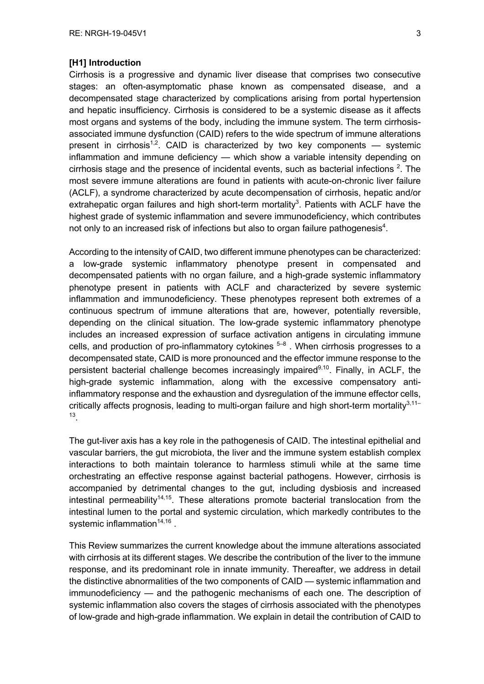#### **[H1] Introduction**

Cirrhosis is a progressive and dynamic liver disease that comprises two consecutive stages: an often-asymptomatic phase known as compensated disease, and a decompensated stage characterized by complications arising from portal hypertension and hepatic insufficiency. Cirrhosis is considered to be a systemic disease as it affects most organs and systems of the body, including the immune system. The term cirrhosisassociated immune dysfunction (CAID) refers to the wide spectrum of immune alterations present in cirrhosis<sup>1,2</sup>. CAID is characterized by two key components  $-$  systemic inflammation and immune deficiency — which show a variable intensity depending on cirrhosis stage and the presence of incidental events, such as bacterial infections  $2$ . The most severe immune alterations are found in patients with acute-on-chronic liver failure (ACLF), a syndrome characterized by acute decompensation of cirrhosis, hepatic and/or extrahepatic organ failures and high short-term mortality<sup>3</sup>. Patients with ACLF have the highest grade of systemic inflammation and severe immunodeficiency, which contributes not only to an increased risk of infections but also to organ failure pathogenesis<sup>4</sup>.

According to the intensity of CAID, two different immune phenotypes can be characterized: a low-grade systemic inflammatory phenotype present in compensated and decompensated patients with no organ failure, and a high-grade systemic inflammatory phenotype present in patients with ACLF and characterized by severe systemic inflammation and immunodeficiency. These phenotypes represent both extremes of a continuous spectrum of immune alterations that are, however, potentially reversible, depending on the clinical situation. The low-grade systemic inflammatory phenotype includes an increased expression of surface activation antigens in circulating immune cells, and production of pro-inflammatory cytokines  $5-8$ . When cirrhosis progresses to a decompensated state, CAID is more pronounced and the effector immune response to the persistent bacterial challenge becomes increasingly impaired<sup>9,10</sup>. Finally, in ACLF, the high-grade systemic inflammation, along with the excessive compensatory antiinflammatory response and the exhaustion and dysregulation of the immune effector cells, critically affects prognosis, leading to multi-organ failure and high short-term mortality $3,11-$ 13.

The gut-liver axis has a key role in the pathogenesis of CAID. The intestinal epithelial and vascular barriers, the gut microbiota, the liver and the immune system establish complex interactions to both maintain tolerance to harmless stimuli while at the same time orchestrating an effective response against bacterial pathogens. However, cirrhosis is accompanied by detrimental changes to the gut, including dysbiosis and increased intestinal permeability<sup>14,15</sup>. These alterations promote bacterial translocation from the intestinal lumen to the portal and systemic circulation, which markedly contributes to the systemic inflammation $14,16$ .

This Review summarizes the current knowledge about the immune alterations associated with cirrhosis at its different stages. We describe the contribution of the liver to the immune response, and its predominant role in innate immunity. Thereafter, we address in detail the distinctive abnormalities of the two components of CAID — systemic inflammation and immunodeficiency — and the pathogenic mechanisms of each one. The description of systemic inflammation also covers the stages of cirrhosis associated with the phenotypes of low-grade and high-grade inflammation. We explain in detail the contribution of CAID to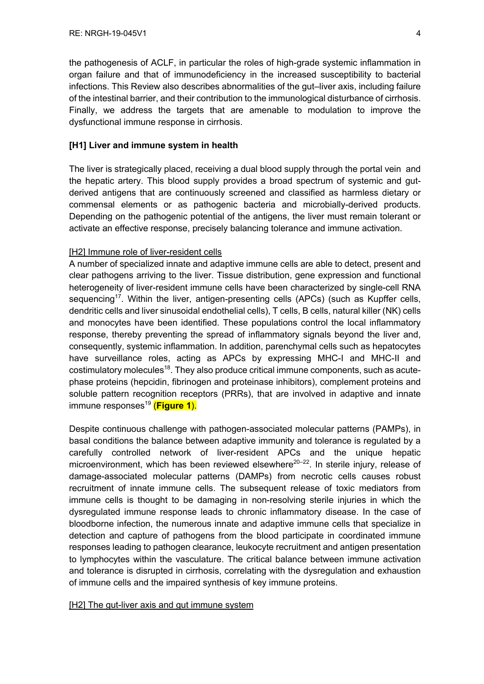the pathogenesis of ACLF, in particular the roles of high-grade systemic inflammation in organ failure and that of immunodeficiency in the increased susceptibility to bacterial infections. This Review also describes abnormalities of the gut–liver axis, including failure of the intestinal barrier, and their contribution to the immunological disturbance of cirrhosis. Finally, we address the targets that are amenable to modulation to improve the dysfunctional immune response in cirrhosis.

## **[H1] Liver and immune system in health**

The liver is strategically placed, receiving a dual blood supply through the portal vein and the hepatic artery. This blood supply provides a broad spectrum of systemic and gutderived antigens that are continuously screened and classified as harmless dietary or commensal elements or as pathogenic bacteria and microbially-derived products. Depending on the pathogenic potential of the antigens, the liver must remain tolerant or activate an effective response, precisely balancing tolerance and immune activation.

#### [H2] Immune role of liver-resident cells

A number of specialized innate and adaptive immune cells are able to detect, present and clear pathogens arriving to the liver. Tissue distribution, gene expression and functional heterogeneity of liver-resident immune cells have been characterized by single-cell RNA sequencing<sup>17</sup>. Within the liver, antigen-presenting cells (APCs) (such as Kupffer cells, dendritic cells and liver sinusoidal endothelial cells), T cells, B cells, natural killer (NK) cells and monocytes have been identified. These populations control the local inflammatory response, thereby preventing the spread of inflammatory signals beyond the liver and, consequently, systemic inflammation. In addition, parenchymal cells such as hepatocytes have surveillance roles, acting as APCs by expressing MHC-I and MHC-II and costimulatory molecules<sup>18</sup>. They also produce critical immune components, such as acutephase proteins (hepcidin, fibrinogen and proteinase inhibitors), complement proteins and soluble pattern recognition receptors (PRRs), that are involved in adaptive and innate immune responses<sup>19</sup> (Figure 1).

Despite continuous challenge with pathogen-associated molecular patterns (PAMPs), in basal conditions the balance between adaptive immunity and tolerance is regulated by a carefully controlled network of liver-resident APCs and the unique hepatic microenvironment, which has been reviewed elsewhere<sup>20–22</sup>. In sterile injury, release of damage-associated molecular patterns (DAMPs) from necrotic cells causes robust recruitment of innate immune cells. The subsequent release of toxic mediators from immune cells is thought to be damaging in non-resolving sterile injuries in which the dysregulated immune response leads to chronic inflammatory disease. In the case of bloodborne infection, the numerous innate and adaptive immune cells that specialize in detection and capture of pathogens from the blood participate in coordinated immune responses leading to pathogen clearance, leukocyte recruitment and antigen presentation to lymphocytes within the vasculature. The critical balance between immune activation and tolerance is disrupted in cirrhosis, correlating with the dysregulation and exhaustion of immune cells and the impaired synthesis of key immune proteins.

#### [H2] The gut-liver axis and gut immune system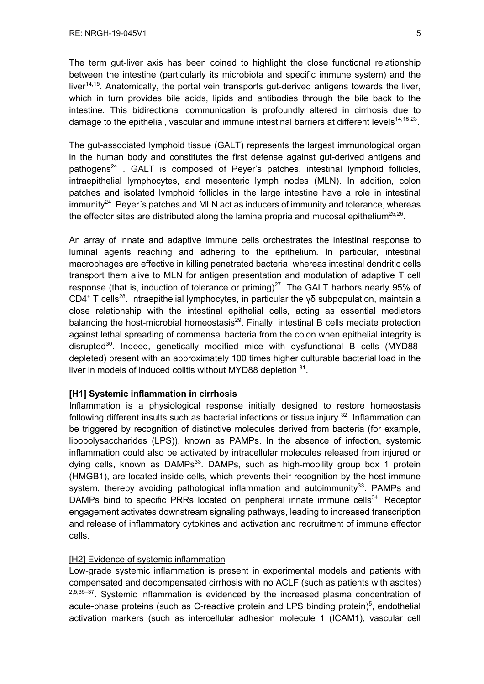The term gut-liver axis has been coined to highlight the close functional relationship between the intestine (particularly its microbiota and specific immune system) and the liver<sup>14,15</sup>. Anatomically, the portal vein transports gut-derived antigens towards the liver, which in turn provides bile acids, lipids and antibodies through the bile back to the intestine. This bidirectional communication is profoundly altered in cirrhosis due to damage to the epithelial, vascular and immune intestinal barriers at different levels<sup>14,15,23</sup>.

The gut-associated lymphoid tissue (GALT) represents the largest immunological organ in the human body and constitutes the first defense against gut-derived antigens and pathogens<sup>24</sup>. GALT is composed of Peyer's patches, intestinal lymphoid follicles, intraepithelial lymphocytes, and mesenteric lymph nodes (MLN). In addition, colon patches and isolated lymphoid follicles in the large intestine have a role in intestinal  $immunity<sup>24</sup>$ . Peyer's patches and MLN act as inducers of immunity and tolerance, whereas the effector sites are distributed along the lamina propria and mucosal epithelium<sup>25,26</sup>.

An array of innate and adaptive immune cells orchestrates the intestinal response to luminal agents reaching and adhering to the epithelium. In particular, intestinal macrophages are effective in killing penetrated bacteria, whereas intestinal dendritic cells transport them alive to MLN for antigen presentation and modulation of adaptive T cell response (that is, induction of tolerance or priming)<sup>27</sup>. The GALT harbors nearly 95% of CD4<sup>+</sup> T cells<sup>28</sup>. Intraepithelial lymphocytes, in particular the γδ subpopulation, maintain a close relationship with the intestinal epithelial cells, acting as essential mediators balancing the host-microbial homeostasis $^{29}$ . Finally, intestinal B cells mediate protection against lethal spreading of commensal bacteria from the colon when epithelial integrity is disrupted<sup>30</sup>. Indeed, genetically modified mice with dysfunctional B cells (MYD88depleted) present with an approximately 100 times higher culturable bacterial load in the liver in models of induced colitis without MYD88 depletion <sup>31</sup>.

#### **[H1] Systemic inflammation in cirrhosis**

Inflammation is a physiological response initially designed to restore homeostasis following different insults such as bacterial infections or tissue injury  $32$ . Inflammation can be triggered by recognition of distinctive molecules derived from bacteria (for example, lipopolysaccharides (LPS)), known as PAMPs. In the absence of infection, systemic inflammation could also be activated by intracellular molecules released from injured or dying cells, known as  $DAMPs^{33}$ . DAMPs, such as high-mobility group box 1 protein (HMGB1), are located inside cells, which prevents their recognition by the host immune system, thereby avoiding pathological inflammation and autoimmunity<sup>33</sup>. PAMPs and DAMPs bind to specific PRRs located on peripheral innate immune cells $34$ . Receptor engagement activates downstream signaling pathways, leading to increased transcription and release of inflammatory cytokines and activation and recruitment of immune effector cells.

## [H2] Evidence of systemic inflammation

Low-grade systemic inflammation is present in experimental models and patients with compensated and decompensated cirrhosis with no ACLF (such as patients with ascites)  $2,5,35-37$ . Systemic inflammation is evidenced by the increased plasma concentration of acute-phase proteins (such as C-reactive protein and LPS binding protein)<sup>5</sup>, endothelial activation markers (such as intercellular adhesion molecule 1 (ICAM1), vascular cell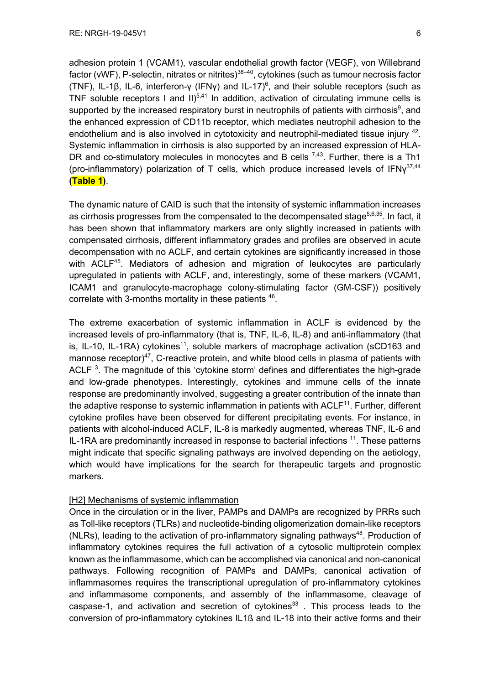adhesion protein 1 (VCAM1), vascular endothelial growth factor (VEGF), von Willebrand factor (vWF), P-selectin, nitrates or nitrites) $38-40$ , cytokines (such as tumour necrosis factor (TNF), IL-1β, IL-6, interferon-γ (IFNγ) and IL-17)<sup>6</sup>, and their soluble receptors (such as TNF soluble receptors I and  $II$ )<sup>5,41</sup> In addition, activation of circulating immune cells is supported by the increased respiratory burst in neutrophils of patients with cirrhosis<sup>9</sup>, and the enhanced expression of CD11b receptor, which mediates neutrophil adhesion to the endothelium and is also involved in cytotoxicity and neutrophil-mediated tissue injury  $42$ . Systemic inflammation in cirrhosis is also supported by an increased expression of HLA-DR and co-stimulatory molecules in monocytes and B cells  $^{7,43}$ . Further, there is a Th1 (pro-inflammatory) polarization of T cells, which produce increased levels of  $IFN<sub>Y</sub><sup>37,44</sup>$ **(Table 1)**.

The dynamic nature of CAID is such that the intensity of systemic inflammation increases as cirrhosis progresses from the compensated to the decompensated stage<sup>5,6,35</sup>. In fact, it has been shown that inflammatory markers are only slightly increased in patients with compensated cirrhosis, different inflammatory grades and profiles are observed in acute decompensation with no ACLF, and certain cytokines are significantly increased in those with ACLF<sup>45</sup>. Mediators of adhesion and migration of leukocytes are particularly upregulated in patients with ACLF, and, interestingly, some of these markers (VCAM1, ICAM1 and granulocyte-macrophage colony-stimulating factor (GM-CSF)) positively correlate with 3-months mortality in these patients <sup>46</sup>.

The extreme exacerbation of systemic inflammation in ACLF is evidenced by the increased levels of pro-inflammatory (that is, TNF, IL-6, IL-8) and anti-inflammatory (that is, IL-10, IL-1RA) cytokines<sup>11</sup>, soluble markers of macrophage activation (sCD163 and mannose receptor) $47$ , C-reactive protein, and white blood cells in plasma of patients with ACLF  $^3$ . The magnitude of this 'cytokine storm' defines and differentiates the high-grade and low-grade phenotypes. Interestingly, cytokines and immune cells of the innate response are predominantly involved, suggesting a greater contribution of the innate than the adaptive response to systemic inflammation in patients with  $ACLF<sup>11</sup>$ . Further, different cytokine profiles have been observed for different precipitating events. For instance, in patients with alcohol-induced ACLF, IL-8 is markedly augmented, whereas TNF, IL-6 and IL-1RA are predominantly increased in response to bacterial infections <sup>11</sup>. These patterns might indicate that specific signaling pathways are involved depending on the aetiology, which would have implications for the search for therapeutic targets and prognostic markers.

## [H2] Mechanisms of systemic inflammation

Once in the circulation or in the liver, PAMPs and DAMPs are recognized by PRRs such as Toll-like receptors (TLRs) and nucleotide-binding oligomerization domain-like receptors (NLRs), leading to the activation of pro-inflammatory signaling pathways $48$ . Production of inflammatory cytokines requires the full activation of a cytosolic multiprotein complex known as the inflammasome, which can be accomplished via canonical and non-canonical pathways. Following recognition of PAMPs and DAMPs, canonical activation of inflammasomes requires the transcriptional upregulation of pro-inflammatory cytokines and inflammasome components, and assembly of the inflammasome, cleavage of caspase-1, and activation and secretion of cytokines $^{33}$  . This process leads to the conversion of pro-inflammatory cytokines IL1ß and IL-18 into their active forms and their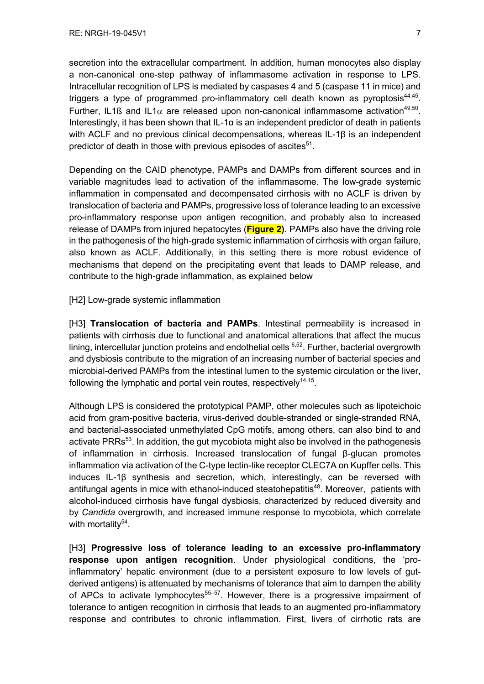secretion into the extracellular compartment. In addition, human monocytes also display a non-canonical one-step pathway of inflammasome activation in response to LPS. Intracellular recognition of LPS is mediated by caspases 4 and 5 (caspase 11 in mice) and triggers a type of programmed pro-inflammatory cell death known as pyroptosis $44,45$ . Further, IL1ß and IL1 $\alpha$  are released upon non-canonical inflammasome activation<sup>49,50</sup>. Interestingly, it has been shown that IL-1 $\alpha$  is an independent predictor of death in patients with ACLF and no previous clinical decompensations, whereas IL-1β is an independent predictor of death in those with previous episodes of ascites $51$ .

Depending on the CAID phenotype, PAMPs and DAMPs from different sources and in variable magnitudes lead to activation of the inflammasome. The low-grade systemic inflammation in compensated and decompensated cirrhosis with no ACLF is driven by translocation of bacteria and PAMPs, progressive loss of tolerance leading to an excessive pro-inflammatory response upon antigen recognition, and probably also to increased release of DAMPs from injured hepatocytes (**Figure 2)**. PAMPs also have the driving role in the pathogenesis of the high-grade systemic inflammation of cirrhosis with organ failure, also known as ACLF. Additionally, in this setting there is more robust evidence of mechanisms that depend on the precipitating event that leads to DAMP release, and contribute to the high-grade inflammation, as explained below

[H2] Low-grade systemic inflammation

[H3] **Translocation of bacteria and PAMPs**. Intestinal permeability is increased in patients with cirrhosis due to functional and anatomical alterations that affect the mucus lining, intercellular junction proteins and endothelial cells  $6,52$ . Further, bacterial overgrowth and dysbiosis contribute to the migration of an increasing number of bacterial species and microbial-derived PAMPs from the intestinal lumen to the systemic circulation or the liver, following the lymphatic and portal vein routes, respectively $14,15$ .

Although LPS is considered the prototypical PAMP, other molecules such as lipoteichoic acid from gram-positive bacteria, virus-derived double-stranded or single-stranded RNA, and bacterial-associated unmethylated CpG motifs, among others, can also bind to and activate PRRs<sup>53</sup>. In addition, the gut mycobiota might also be involved in the pathogenesis of inflammation in cirrhosis. Increased translocation of fungal β-glucan promotes inflammation via activation of the C-type lectin-like receptor CLEC7A on Kupffer cells. This induces IL-1β synthesis and secretion, which, interestingly, can be reversed with antifungal agents in mice with ethanol-induced steatohepatitis<sup>48</sup>. Moreover, patients with alcohol-induced cirrhosis have fungal dysbiosis, characterized by reduced diversity and by *Candida* overgrowth, and increased immune response to mycobiota, which correlate with mortality<sup>54</sup>.

[H3] **Progressive loss of tolerance leading to an excessive pro-inflammatory response upon antigen recognition**. Under physiological conditions, the 'proinflammatory' hepatic environment (due to a persistent exposure to low levels of gutderived antigens) is attenuated by mechanisms of tolerance that aim to dampen the ability of APCs to activate lymphocytes<sup>55–57</sup>. However, there is a progressive impairment of tolerance to antigen recognition in cirrhosis that leads to an augmented pro-inflammatory response and contributes to chronic inflammation. First, livers of cirrhotic rats are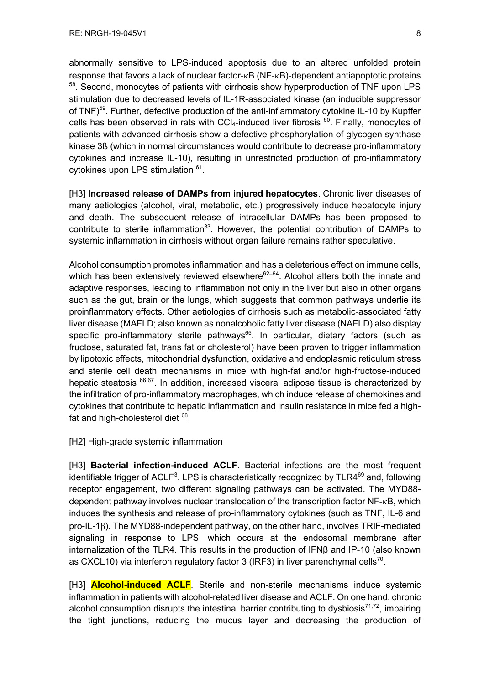abnormally sensitive to LPS-induced apoptosis due to an altered unfolded protein response that favors a lack of nuclear factor- $\kappa$ B (NF- $\kappa$ B)-dependent antiapoptotic proteins <sup>58</sup>. Second, monocytes of patients with cirrhosis show hyperproduction of TNF upon LPS stimulation due to decreased levels of IL-1R-associated kinase (an inducible suppressor of TNF)<sup>59</sup>. Further, defective production of the anti-inflammatory cytokine IL-10 by Kupffer cells has been observed in rats with CCI4-induced liver fibrosis  $60$ . Finally, monocytes of patients with advanced cirrhosis show a defective phosphorylation of glycogen synthase kinase 3ß (which in normal circumstances would contribute to decrease pro-inflammatory cytokines and increase IL-10), resulting in unrestricted production of pro-inflammatory cytokines upon LPS stimulation <sup>61</sup>.

[H3] **Increased release of DAMPs from injured hepatocytes**. Chronic liver diseases of many aetiologies (alcohol, viral, metabolic, etc.) progressively induce hepatocyte injury and death. The subsequent release of intracellular DAMPs has been proposed to contribute to sterile inflammation<sup>33</sup>. However, the potential contribution of DAMPs to systemic inflammation in cirrhosis without organ failure remains rather speculative.

Alcohol consumption promotes inflammation and has a deleterious effect on immune cells, which has been extensively reviewed elsewhere $62-64$ . Alcohol alters both the innate and adaptive responses, leading to inflammation not only in the liver but also in other organs such as the gut, brain or the lungs, which suggests that common pathways underlie its proinflammatory effects. Other aetiologies of cirrhosis such as metabolic-associated fatty liver disease (MAFLD; also known as nonalcoholic fatty liver disease (NAFLD) also display specific pro-inflammatory sterile pathways<sup>65</sup>. In particular, dietary factors (such as fructose, saturated fat, trans fat or cholesterol) have been proven to trigger inflammation by lipotoxic effects, mitochondrial dysfunction, oxidative and endoplasmic reticulum stress and sterile cell death mechanisms in mice with high-fat and/or high-fructose-induced hepatic steatosis <sup>66,67</sup>. In addition, increased visceral adipose tissue is characterized by the infiltration of pro-inflammatory macrophages, which induce release of chemokines and cytokines that contribute to hepatic inflammation and insulin resistance in mice fed a highfat and high-cholesterol diet  $68$ .

[H2] High-grade systemic inflammation

[H3] **Bacterial infection-induced ACLF**. Bacterial infections are the most frequent identifiable trigger of ACLF<sup>3</sup>. LPS is characteristically recognized by TLR4 $^{69}$  and, following receptor engagement, two different signaling pathways can be activated. The MYD88 dependent pathway involves nuclear translocation of the transcription factor NF-kB, which induces the synthesis and release of pro-inflammatory cytokines (such as TNF, IL-6 and pro-IL-1b). The MYD88-independent pathway, on the other hand, involves TRIF-mediated signaling in response to LPS, which occurs at the endosomal membrane after internalization of the TLR4. This results in the production of IFNβ and IP-10 (also known as CXCL10) via interferon regulatory factor 3 (IRF3) in liver parenchymal cells<sup>70</sup>.

[H3] **Alcohol-induced ACLF**. Sterile and non-sterile mechanisms induce systemic inflammation in patients with alcohol-related liver disease and ACLF. On one hand, chronic alcohol consumption disrupts the intestinal barrier contributing to dysbiosis<sup>71,72</sup>, impairing the tight junctions, reducing the mucus layer and decreasing the production of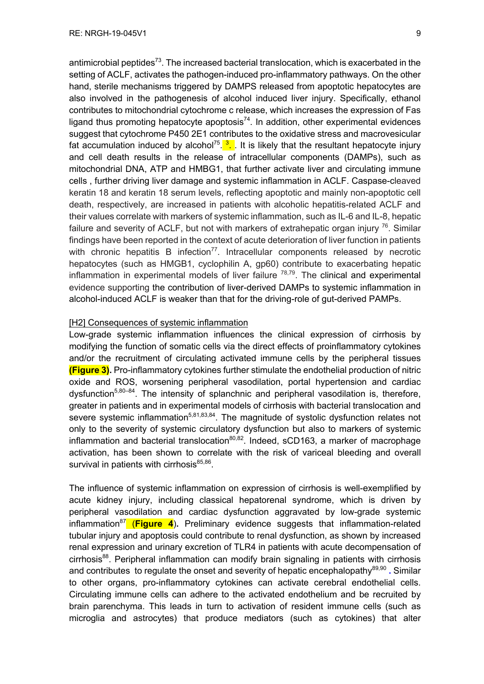antimicrobial peptides<sup>73</sup>. The increased bacterial translocation, which is exacerbated in the setting of ACLF, activates the pathogen-induced pro-inflammatory pathways. On the other hand, sterile mechanisms triggered by DAMPS released from apoptotic hepatocytes are also involved in the pathogenesis of alcohol induced liver injury. Specifically, ethanol contributes to mitochondrial cytochrome c release, which increases the expression of Fas ligand thus promoting hepatocyte apoptosis<sup>74</sup>. In addition, other experimental evidences suggest that cytochrome P450 2E1 contributes to the oxidative stress and macrovesicular fat accumulation induced by alcohol<sup>75</sup>.<sup>3</sup>. It is likely that the resultant hepatocyte injury and cell death results in the release of intracellular components (DAMPs), such as mitochondrial DNA, ATP and HMBG1, that further activate liver and circulating immune cells , further driving liver damage and systemic inflammation in ACLF. Caspase-cleaved keratin 18 and keratin 18 serum levels, reflecting apoptotic and mainly non-apoptotic cell death, respectively, are increased in patients with alcoholic hepatitis-related ACLF and their values correlate with markers of systemic inflammation, such as IL-6 and IL-8, hepatic failure and severity of ACLF, but not with markers of extrahepatic organ injury  $76$ . Similar findings have been reported in the context of acute deterioration of liver function in patients with chronic hepatitis B infection<sup>77</sup>. Intracellular components released by necrotic hepatocytes (such as HMGB1, cyclophilin A, gp60) contribute to exacerbating hepatic inflammation in experimental models of liver failure  $78,79$ . The clinical and experimental evidence supporting the contribution of liver-derived DAMPs to systemic inflammation in alcohol-induced ACLF is weaker than that for the driving-role of gut-derived PAMPs.

## [H2] Consequences of systemic inflammation

Low-grade systemic inflammation influences the clinical expression of cirrhosis by modifying the function of somatic cells via the direct effects of proinflammatory cytokines and/or the recruitment of circulating activated immune cells by the peripheral tissues **(Figure 3).** Pro-inflammatory cytokines further stimulate the endothelial production of nitric oxide and ROS, worsening peripheral vasodilation, portal hypertension and cardiac dysfunction<sup>5,80–84</sup>. The intensity of splanchnic and peripheral vasodilation is, therefore, greater in patients and in experimental models of cirrhosis with bacterial translocation and severe systemic inflammation<sup>5,81,83,84</sup>. The magnitude of systolic dysfunction relates not only to the severity of systemic circulatory dysfunction but also to markers of systemic inflammation and bacterial translocation<sup>80,82</sup>. Indeed, sCD163, a marker of macrophage activation, has been shown to correlate with the risk of variceal bleeding and overall survival in patients with cirrhosis $85,86$ .

The influence of systemic inflammation on expression of cirrhosis is well-exemplified by acute kidney injury, including classical hepatorenal syndrome, which is driven by peripheral vasodilation and cardiac dysfunction aggravated by low-grade systemic inflammation87 (**Figure 4**)**.** Preliminary evidence suggests that inflammation-related tubular injury and apoptosis could contribute to renal dysfunction, as shown by increased renal expression and urinary excretion of TLR4 in patients with acute decompensation of cirrhosis<sup>88</sup>. Peripheral inflammation can modify brain signaling in patients with cirrhosis and contributes to regulate the onset and severity of hepatic encephalopathy<sup>89,90</sup> **.** Similar to other organs, pro-inflammatory cytokines can activate cerebral endothelial cells. Circulating immune cells can adhere to the activated endothelium and be recruited by brain parenchyma. This leads in turn to activation of resident immune cells (such as microglia and astrocytes) that produce mediators (such as cytokines) that alter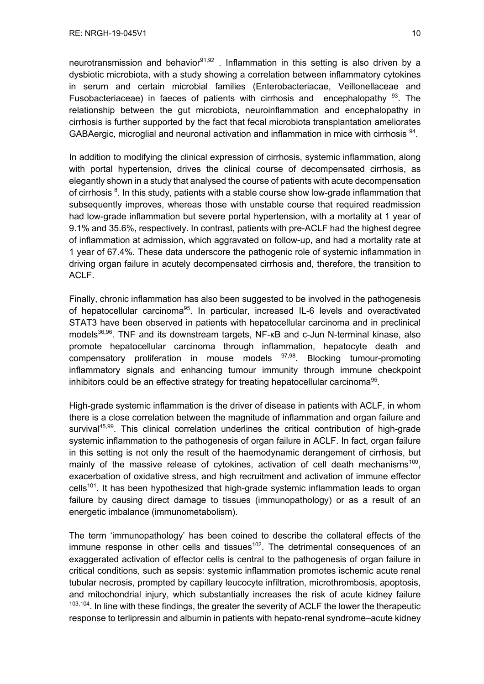neurotransmission and behavior $91,92$ . Inflammation in this setting is also driven by a dysbiotic microbiota, with a study showing a correlation between inflammatory cytokines in serum and certain microbial families (Enterobacteriacae, Veillonellaceae and Fusobacteriaceae) in faeces of patients with cirrhosis and encephalopathy  $93$ . The relationship between the gut microbiota, neuroinflammation and encephalopathy in cirrhosis is further supported by the fact that fecal microbiota transplantation ameliorates GABAergic, microglial and neuronal activation and inflammation in mice with cirrhosis <sup>94</sup>.

In addition to modifying the clinical expression of cirrhosis, systemic inflammation, along with portal hypertension, drives the clinical course of decompensated cirrhosis, as elegantly shown in a study that analysed the course of patients with acute decompensation of cirrhosis <sup>8</sup>. In this study, patients with a stable course show low-grade inflammation that subsequently improves, whereas those with unstable course that required readmission had low-grade inflammation but severe portal hypertension, with a mortality at 1 year of 9.1% and 35.6%, respectively. In contrast, patients with pre-ACLF had the highest degree of inflammation at admission, which aggravated on follow-up, and had a mortality rate at 1 year of 67.4%. These data underscore the pathogenic role of systemic inflammation in driving organ failure in acutely decompensated cirrhosis and, therefore, the transition to ACLF.

Finally, chronic inflammation has also been suggested to be involved in the pathogenesis of hepatocellular carcinoma<sup>95</sup>. In particular, increased IL-6 levels and overactivated STAT3 have been observed in patients with hepatocellular carcinoma and in preclinical models<sup>36,96</sup>. TNF and its downstream targets, NF-κB and c-Jun N-terminal kinase, also promote hepatocellular carcinoma through inflammation, hepatocyte death and compensatory proliferation in mouse models <sup>97,98</sup>. Blocking tumour-promoting inflammatory signals and enhancing tumour immunity through immune checkpoint inhibitors could be an effective strategy for treating hepatocellular carcinoma<sup>95</sup>.

High-grade systemic inflammation is the driver of disease in patients with ACLF, in whom there is a close correlation between the magnitude of inflammation and organ failure and survival<sup>45,99</sup>. This clinical correlation underlines the critical contribution of high-grade systemic inflammation to the pathogenesis of organ failure in ACLF. In fact, organ failure in this setting is not only the result of the haemodynamic derangement of cirrhosis, but mainly of the massive release of cytokines, activation of cell death mechanisms<sup>100</sup>, exacerbation of oxidative stress, and high recruitment and activation of immune effector cells<sup>101</sup>. It has been hypothesized that high-grade systemic inflammation leads to organ failure by causing direct damage to tissues (immunopathology) or as a result of an energetic imbalance (immunometabolism).

The term 'immunopathology' has been coined to describe the collateral effects of the  $immune$  response in other cells and tissues<sup>102</sup>. The detrimental consequences of an exaggerated activation of effector cells is central to the pathogenesis of organ failure in critical conditions, such as sepsis: systemic inflammation promotes ischemic acute renal tubular necrosis, prompted by capillary leucocyte infiltration, microthrombosis, apoptosis, and mitochondrial injury, which substantially increases the risk of acute kidney failure  $103,104$ . In line with these findings, the greater the severity of ACLF the lower the therapeutic response to terlipressin and albumin in patients with hepato-renal syndrome–acute kidney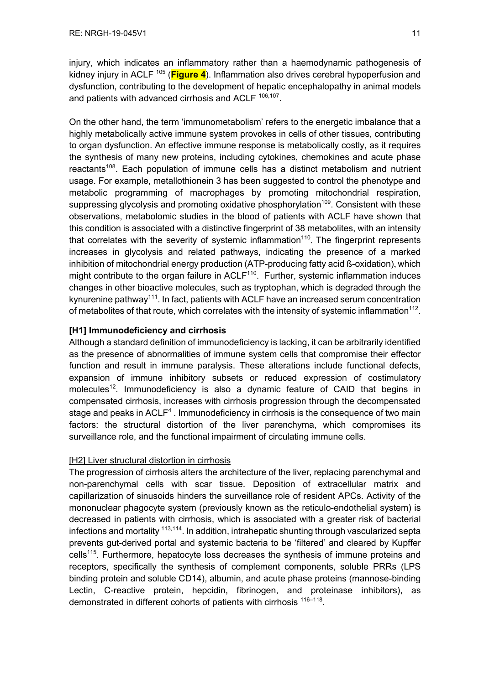injury, which indicates an inflammatory rather than a haemodynamic pathogenesis of kidney injury in ACLF<sup>105</sup> (Figure 4). Inflammation also drives cerebral hypoperfusion and dysfunction, contributing to the development of hepatic encephalopathy in animal models and patients with advanced cirrhosis and ACLF<sup>106,107</sup>.

On the other hand, the term 'immunometabolism' refers to the energetic imbalance that a highly metabolically active immune system provokes in cells of other tissues, contributing to organ dysfunction. An effective immune response is metabolically costly, as it requires the synthesis of many new proteins, including cytokines, chemokines and acute phase reactants<sup>108</sup>. Each population of immune cells has a distinct metabolism and nutrient usage. For example, metallothionein 3 has been suggested to control the phenotype and metabolic programming of macrophages by promoting mitochondrial respiration, suppressing glycolysis and promoting oxidative phosphorylation<sup>109</sup>. Consistent with these observations, metabolomic studies in the blood of patients with ACLF have shown that this condition is associated with a distinctive fingerprint of 38 metabolites, with an intensity that correlates with the severity of systemic inflammation<sup>110</sup>. The fingerprint represents increases in glycolysis and related pathways, indicating the presence of a marked inhibition of mitochondrial energy production (ATP-producing fatty acid ß-oxidation), which might contribute to the organ failure in  $ACLF<sup>110</sup>$ . Further, systemic inflammation induces changes in other bioactive molecules, such as tryptophan, which is degraded through the kynurenine pathway<sup>111</sup>. In fact, patients with ACLF have an increased serum concentration of metabolites of that route, which correlates with the intensity of systemic inflammation<sup>112</sup>.

# **[H1] Immunodeficiency and cirrhosis**

Although a standard definition of immunodeficiency is lacking, it can be arbitrarily identified as the presence of abnormalities of immune system cells that compromise their effector function and result in immune paralysis. These alterations include functional defects, expansion of immune inhibitory subsets or reduced expression of costimulatory molecules<sup>12</sup>. Immunodeficiency is also a dynamic feature of CAID that begins in compensated cirrhosis, increases with cirrhosis progression through the decompensated stage and peaks in ACLF<sup>4</sup>. Immunodeficiency in cirrhosis is the consequence of two main factors: the structural distortion of the liver parenchyma, which compromises its surveillance role, and the functional impairment of circulating immune cells.

## [H2] Liver structural distortion in cirrhosis

The progression of cirrhosis alters the architecture of the liver, replacing parenchymal and non-parenchymal cells with scar tissue. Deposition of extracellular matrix and capillarization of sinusoids hinders the surveillance role of resident APCs. Activity of the mononuclear phagocyte system (previously known as the reticulo-endothelial system) is decreased in patients with cirrhosis, which is associated with a greater risk of bacterial infections and mortality <sup>113,114</sup>. In addition, intrahepatic shunting through vascularized septa prevents gut-derived portal and systemic bacteria to be 'filtered' and cleared by Kupffer cells<sup>115</sup>. Furthermore, hepatocyte loss decreases the synthesis of immune proteins and receptors, specifically the synthesis of complement components, soluble PRRs (LPS binding protein and soluble CD14), albumin, and acute phase proteins (mannose-binding Lectin, C-reactive protein, hepcidin, fibrinogen, and proteinase inhibitors), as demonstrated in different cohorts of patients with cirrhosis <sup>116-118</sup>.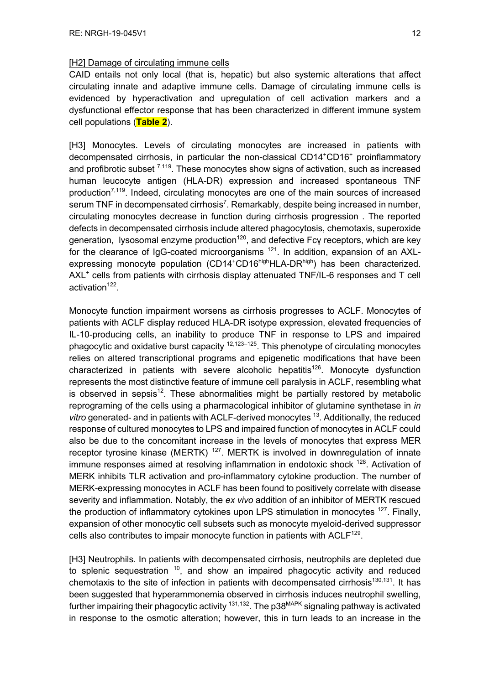## [H2] Damage of circulating immune cells

CAID entails not only local (that is, hepatic) but also systemic alterations that affect circulating innate and adaptive immune cells. Damage of circulating immune cells is evidenced by hyperactivation and upregulation of cell activation markers and a dysfunctional effector response that has been characterized in different immune system cell populations (**Table 2**).

[H3] Monocytes. Levels of circulating monocytes are increased in patients with decompensated cirrhosis, in particular the non-classical CD14+CD16+ proinflammatory and profibrotic subset  $^{7,119}$ . These monocytes show signs of activation, such as increased human leucocyte antigen (HLA-DR) expression and increased spontaneous TNF production<sup>7,119</sup>. Indeed, circulating monocytes are one of the main sources of increased serum TNF in decompensated cirrhosis<sup>7</sup>. Remarkably, despite being increased in number, circulating monocytes decrease in function during cirrhosis progression . The reported defects in decompensated cirrhosis include altered phagocytosis, chemotaxis, superoxide generation, lysosomal enzyme production<sup>120</sup>, and defective Fcγ receptors, which are key for the clearance of IgG-coated microorganisms  $121$ . In addition, expansion of an AXLexpressing monocyte population (CD14<sup>+</sup>CD16<sup>high</sup>HLA-DR<sup>high</sup>) has been characterized. AXL<sup>+</sup> cells from patients with cirrhosis display attenuated TNF/IL-6 responses and T cell activation $122$ .

Monocyte function impairment worsens as cirrhosis progresses to ACLF. Monocytes of patients with ACLF display reduced HLA-DR isotype expression, elevated frequencies of IL-10-producing cells, an inability to produce TNF in response to LPS and impaired phagocytic and oxidative burst capacity  $12,123-125$ . This phenotype of circulating monocytes relies on altered transcriptional programs and epigenetic modifications that have been characterized in patients with severe alcoholic hepatitis<sup>126</sup>. Monocyte dysfunction represents the most distinctive feature of immune cell paralysis in ACLF, resembling what is observed in sepsis<sup>12</sup>. These abnormalities might be partially restored by metabolic reprograming of the cells using a pharmacological inhibitor of glutamine synthetase in *in vitro* generated- and in patients with ACLF-derived monocytes 13. Additionally, the reduced response of cultured monocytes to LPS and impaired function of monocytes in ACLF could also be due to the concomitant increase in the levels of monocytes that express MER receptor tyrosine kinase (MERTK)<sup>127</sup>. MERTK is involved in downregulation of innate immune responses aimed at resolving inflammation in endotoxic shock <sup>128</sup>. Activation of MERK inhibits TLR activation and pro-inflammatory cytokine production. The number of MERK-expressing monocytes in ACLF has been found to positively correlate with disease severity and inflammation. Notably, the *ex vivo* addition of an inhibitor of MERTK rescued the production of inflammatory cytokines upon LPS stimulation in monocytes <sup>127</sup>. Finally, expansion of other monocytic cell subsets such as monocyte myeloid-derived suppressor cells also contributes to impair monocyte function in patients with  $ACLF<sup>129</sup>$ .

[H3] Neutrophils. In patients with decompensated cirrhosis, neutrophils are depleted due to splenic sequestration  $10$ , and show an impaired phagocytic activity and reduced chemotaxis to the site of infection in patients with decompensated cirrhosis<sup>130,131</sup>. It has been suggested that hyperammonemia observed in cirrhosis induces neutrophil swelling, further impairing their phagocytic activity  $131,132$ . The p38<sup>MAPK</sup> signaling pathway is activated in response to the osmotic alteration; however, this in turn leads to an increase in the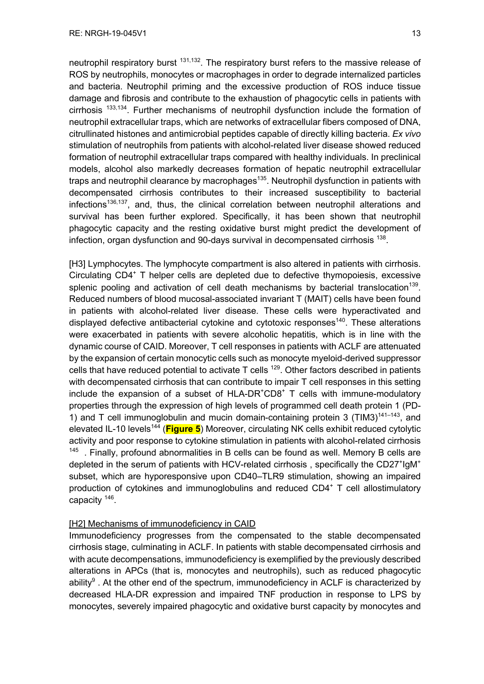neutrophil respiratory burst <sup>131,132</sup>. The respiratory burst refers to the massive release of ROS by neutrophils, monocytes or macrophages in order to degrade internalized particles and bacteria. Neutrophil priming and the excessive production of ROS induce tissue damage and fibrosis and contribute to the exhaustion of phagocytic cells in patients with cirrhosis 133,134. Further mechanisms of neutrophil dysfunction include the formation of neutrophil extracellular traps, which are networks of extracellular fibers composed of DNA, citrullinated histones and antimicrobial peptides capable of directly killing bacteria. *Ex vivo* stimulation of neutrophils from patients with alcohol-related liver disease showed reduced formation of neutrophil extracellular traps compared with healthy individuals. In preclinical models, alcohol also markedly decreases formation of hepatic neutrophil extracellular traps and neutrophil clearance by macrophages<sup>135</sup>. Neutrophil dysfunction in patients with decompensated cirrhosis contributes to their increased susceptibility to bacterial  $infections<sup>136,137</sup>$ , and, thus, the clinical correlation between neutrophil alterations and survival has been further explored. Specifically, it has been shown that neutrophil phagocytic capacity and the resting oxidative burst might predict the development of infection, organ dysfunction and 90-days survival in decompensated cirrhosis <sup>138</sup>.

[H3] Lymphocytes. The lymphocyte compartment is also altered in patients with cirrhosis. Circulating CD4+ T helper cells are depleted due to defective thymopoiesis, excessive splenic pooling and activation of cell death mechanisms by bacterial translocation<sup>139</sup>. Reduced numbers of blood mucosal-associated invariant T (MAIT) cells have been found in patients with alcohol-related liver disease. These cells were hyperactivated and displayed defective antibacterial cytokine and cytotoxic responses<sup>140</sup>. These alterations were exacerbated in patients with severe alcoholic hepatitis, which is in line with the dynamic course of CAID. Moreover, T cell responses in patients with ACLF are attenuated by the expansion of certain monocytic cells such as monocyte myeloid-derived suppressor cells that have reduced potential to activate  $T$  cells  $^{129}$ . Other factors described in patients with decompensated cirrhosis that can contribute to impair T cell responses in this setting include the expansion of a subset of  $HLA-DR^+CDB^+T$  cells with immune-modulatory properties through the expression of high levels of programmed cell death protein 1 (PD-1) and T cell immunoglobulin and mucin domain-containing protein 3 (TIM3) $141-143$ , and elevated IL-10 levels<sup>144</sup> (**Figure 5**) Moreover, circulating NK cells exhibit reduced cytolytic activity and poor response to cytokine stimulation in patients with alcohol-related cirrhosis  $145$ . Finally, profound abnormalities in B cells can be found as well. Memory B cells are depleted in the serum of patients with HCV-related cirrhosis, specifically the CD27<sup>+</sup>IgM<sup>+</sup> subset, which are hyporesponsive upon CD40–TLR9 stimulation, showing an impaired production of cytokines and immunoglobulins and reduced  $CD4<sup>+</sup>$  T cell allostimulatory capacity 146.

## [H2] Mechanisms of immunodeficiency in CAID

Immunodeficiency progresses from the compensated to the stable decompensated cirrhosis stage, culminating in ACLF. In patients with stable decompensated cirrhosis and with acute decompensations, immunodeficiency is exemplified by the previously described alterations in APCs (that is, monocytes and neutrophils), such as reduced phagocytic ability $9$ . At the other end of the spectrum, immunodeficiency in ACLF is characterized by decreased HLA-DR expression and impaired TNF production in response to LPS by monocytes, severely impaired phagocytic and oxidative burst capacity by monocytes and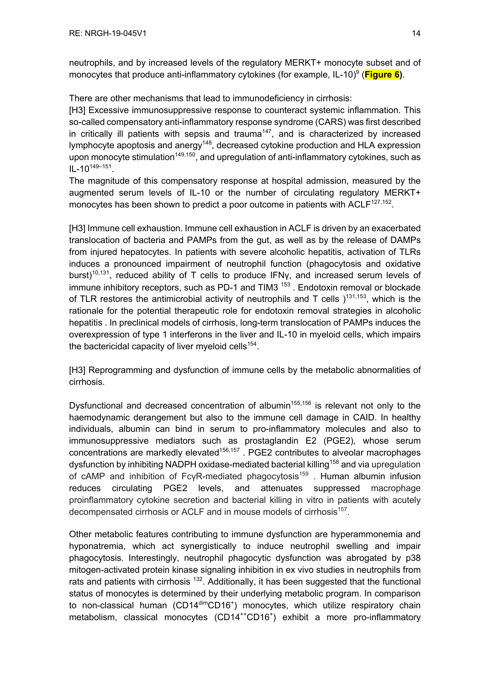neutrophils, and by increased levels of the regulatory MERKT+ monocyte subset and of monocytes that produce anti-inflammatory cytokines (for example, IL-10)<sup>9</sup> (**Figure 6**).

There are other mechanisms that lead to immunodeficiency in cirrhosis:

[H3] Excessive immunosuppressive response to counteract systemic inflammation. This so-called compensatory anti-inflammatory response syndrome (CARS) was first described in critically ill patients with sepsis and trauma<sup>147</sup>, and is characterized by increased lymphocyte apoptosis and anergy<sup>148</sup>, decreased cytokine production and HLA expression upon monocyte stimulation<sup>149,150</sup>, and upregulation of anti-inflammatory cytokines, such as  $IL-10^{149-151}$ .

The magnitude of this compensatory response at hospital admission, measured by the augmented serum levels of IL-10 or the number of circulating regulatory MERKT+ monocytes has been shown to predict a poor outcome in patients with  $ACLF^{127,152}$ .

[H3] Immune cell exhaustion. Immune cell exhaustion in ACLF is driven by an exacerbated translocation of bacteria and PAMPs from the gut, as well as by the release of DAMPs from injured hepatocytes. In patients with severe alcoholic hepatitis, activation of TLRs induces a pronounced impairment of neutrophil function (phagocytosis and oxidative burst)<sup>10,131</sup>, reduced ability of T cells to produce IFNy, and increased serum levels of immune inhibitory receptors, such as PD-1 and TIM3 $153$ . Endotoxin removal or blockade of TLR restores the antimicrobial activity of neutrophils and T cells  $)^{131,153}$ , which is the rationale for the potential therapeutic role for endotoxin removal strategies in alcoholic hepatitis . In preclinical models of cirrhosis, long-term translocation of PAMPs induces the overexpression of type 1 interferons in the liver and IL-10 in myeloid cells, which impairs the bactericidal capacity of liver myeloid cells<sup>154</sup>.

[H3] Reprogramming and dysfunction of immune cells by the metabolic abnormalities of cirrhosis.

Dysfunctional and decreased concentration of albumin<sup>155,156</sup> is relevant not only to the haemodynamic derangement but also to the immune cell damage in CAID. In healthy individuals, albumin can bind in serum to pro-inflammatory molecules and also to immunosuppressive mediators such as prostaglandin E2 (PGE2), whose serum concentrations are markedly elevated<sup>156,157</sup>. PGE2 contributes to alveolar macrophages dysfunction by inhibiting NADPH oxidase-mediated bacterial killing<sup>158</sup> and via upregulation of cAMP and inhibition of FcγR-mediated phagocytosis<sup>159</sup>. Human albumin infusion reduces circulating PGE2 levels, and attenuates suppressed macrophage proinflammatory cytokine secretion and bacterial killing in vitro in patients with acutely decompensated cirrhosis or ACLF and in mouse models of cirrhosis<sup>157</sup>.

Other metabolic features contributing to immune dysfunction are hyperammonemia and hyponatremia, which act synergistically to induce neutrophil swelling and impair phagocytosis. Interestingly, neutrophil phagocytic dysfunction was abrogated by p38 mitogen-activated protein kinase signaling inhibition in ex vivo studies in neutrophils from rats and patients with cirrhosis  $132$ . Additionally, it has been suggested that the functional status of monocytes is determined by their underlying metabolic program. In comparison to non-classical human (CD14<sup>dim</sup>CD16<sup>+</sup>) monocytes, which utilize respiratory chain metabolism, classical monocytes (CD14<sup>++</sup>CD16<sup>+</sup>) exhibit a more pro-inflammatory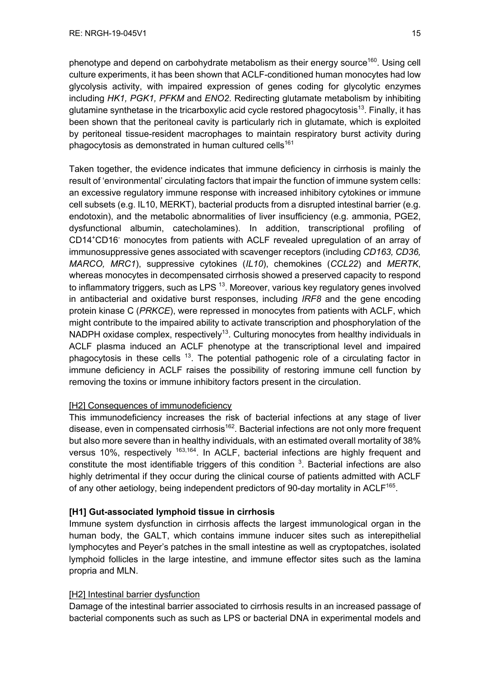phenotype and depend on carbohydrate metabolism as their energy source<sup>160</sup>. Using cell culture experiments, it has been shown that ACLF-conditioned human monocytes had low glycolysis activity, with impaired expression of genes coding for glycolytic enzymes including *HK1, PGK1, PFKM* and *ENO2*. Redirecting glutamate metabolism by inhibiting glutamine synthetase in the tricarboxylic acid cycle restored phagocytosis<sup>13</sup>. Finally, it has been shown that the peritoneal cavity is particularly rich in glutamate, which is exploited by peritoneal tissue-resident macrophages to maintain respiratory burst activity during phagocytosis as demonstrated in human cultured cells<sup>161</sup>

Taken together, the evidence indicates that immune deficiency in cirrhosis is mainly the result of 'environmental' circulating factors that impair the function of immune system cells: an excessive regulatory immune response with increased inhibitory cytokines or immune cell subsets (e.g. IL10, MERKT), bacterial products from a disrupted intestinal barrier (e.g. endotoxin), and the metabolic abnormalities of liver insufficiency (e.g. ammonia, PGE2, dysfunctional albumin, catecholamines). In addition, transcriptional profiling of CD14<sup>+</sup>CD16<sup>-</sup> monocytes from patients with ACLF revealed upregulation of an array of immunosuppressive genes associated with scavenger receptors (including *CD163, CD36, MARCO, MRC1*), suppressive cytokines (*IL10*), chemokines (*CCL22*) and *MERTK*, whereas monocytes in decompensated cirrhosis showed a preserved capacity to respond to inflammatory triggers, such as LPS  $^{13}$ . Moreover, various key regulatory genes involved in antibacterial and oxidative burst responses, including *IRF8* and the gene encoding protein kinase C (*PRKCE*), were repressed in monocytes from patients with ACLF, which might contribute to the impaired ability to activate transcription and phosphorylation of the NADPH oxidase complex, respectively<sup>13</sup>. Culturing monocytes from healthy individuals in ACLF plasma induced an ACLF phenotype at the transcriptional level and impaired phagocytosis in these cells  $13$ . The potential pathogenic role of a circulating factor in immune deficiency in ACLF raises the possibility of restoring immune cell function by removing the toxins or immune inhibitory factors present in the circulation.

## [H2] Consequences of immunodeficiency

This immunodeficiency increases the risk of bacterial infections at any stage of liver disease, even in compensated cirrhosis<sup>162</sup>. Bacterial infections are not only more frequent but also more severe than in healthy individuals, with an estimated overall mortality of 38% versus 10%, respectively <sup>163,164</sup>. In ACLF, bacterial infections are highly frequent and constitute the most identifiable triggers of this condition  $3$ . Bacterial infections are also highly detrimental if they occur during the clinical course of patients admitted with ACLF of any other aetiology, being independent predictors of 90-day mortality in ACLF<sup>165</sup>.

## **[H1] Gut-associated lymphoid tissue in cirrhosis**

Immune system dysfunction in cirrhosis affects the largest immunological organ in the human body, the GALT, which contains immune inducer sites such as interepithelial lymphocytes and Peyer's patches in the small intestine as well as cryptopatches, isolated lymphoid follicles in the large intestine, and immune effector sites such as the lamina propria and MLN.

## [H2] Intestinal barrier dysfunction

Damage of the intestinal barrier associated to cirrhosis results in an increased passage of bacterial components such as such as LPS or bacterial DNA in experimental models and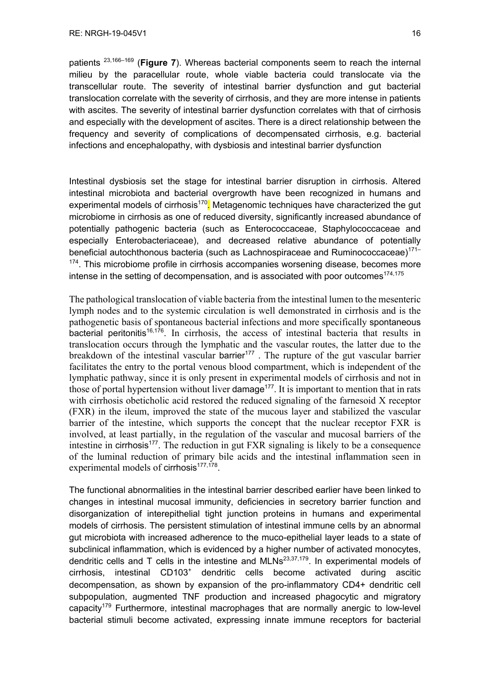patients 23,166–169 (**Figure 7**). Whereas bacterial components seem to reach the internal milieu by the paracellular route, whole viable bacteria could translocate via the transcellular route. The severity of intestinal barrier dysfunction and gut bacterial translocation correlate with the severity of cirrhosis, and they are more intense in patients with ascites. The severity of intestinal barrier dysfunction correlates with that of cirrhosis and especially with the development of ascites. There is a direct relationship between the frequency and severity of complications of decompensated cirrhosis, e.g. bacterial infections and encephalopathy, with dysbiosis and intestinal barrier dysfunction

Intestinal dysbiosis set the stage for intestinal barrier disruption in cirrhosis. Altered intestinal microbiota and bacterial overgrowth have been recognized in humans and experimental models of cirrhosis<sup>170</sup>. Metagenomic techniques have characterized the gut microbiome in cirrhosis as one of reduced diversity, significantly increased abundance of potentially pathogenic bacteria (such as Enterococcaceae, Staphylococcaceae and especially Enterobacteriaceae), and decreased relative abundance of potentially beneficial autochthonous bacteria (such as Lachnospiraceae and Ruminococcaceae)<sup>171-</sup>  $174$ . This microbiome profile in cirrhosis accompanies worsening disease, becomes more intense in the setting of decompensation, and is associated with poor outcomes<sup>174,175</sup>

The pathological translocation of viable bacteria from the intestinal lumen to the mesenteric lymph nodes and to the systemic circulation is well demonstrated in cirrhosis and is the pathogenetic basis of spontaneous bacterial infections and more specifically spontaneous bacterial peritonitis<sup>16,176</sup>. In cirrhosis, the access of intestinal bacteria that results in translocation occurs through the lymphatic and the vascular routes, the latter due to the breakdown of the intestinal vascular barrier<sup>177</sup>. The rupture of the gut vascular barrier facilitates the entry to the portal venous blood compartment, which is independent of the lymphatic pathway, since it is only present in experimental models of cirrhosis and not in those of portal hypertension without liver damage<sup> $177$ </sup>. It is important to mention that in rats with cirrhosis obeticholic acid restored the reduced signaling of the farnesoid X receptor (FXR) in the ileum, improved the state of the mucous layer and stabilized the vascular barrier of the intestine, which supports the concept that the nuclear receptor FXR is involved, at least partially, in the regulation of the vascular and mucosal barriers of the intestine in cirrhosis<sup>177</sup>. The reduction in gut FXR signaling is likely to be a consequence of the luminal reduction of primary bile acids and the intestinal inflammation seen in experimental models of cirrhosis<sup>177,178</sup>.

The functional abnormalities in the intestinal barrier described earlier have been linked to changes in intestinal mucosal immunity, deficiencies in secretory barrier function and disorganization of interepithelial tight junction proteins in humans and experimental models of cirrhosis. The persistent stimulation of intestinal immune cells by an abnormal gut microbiota with increased adherence to the muco-epithelial layer leads to a state of subclinical inflammation, which is evidenced by a higher number of activated monocytes, dendritic cells and T cells in the intestine and  $MLNs^{23,37,179}$ . In experimental models of cirrhosis, intestinal CD103<sup>+</sup> dendritic cells become activated during ascitic decompensation, as shown by expansion of the pro-inflammatory CD4+ dendritic cell subpopulation, augmented TNF production and increased phagocytic and migratory capacity<sup>179</sup> Furthermore, intestinal macrophages that are normally anergic to low-level bacterial stimuli become activated, expressing innate immune receptors for bacterial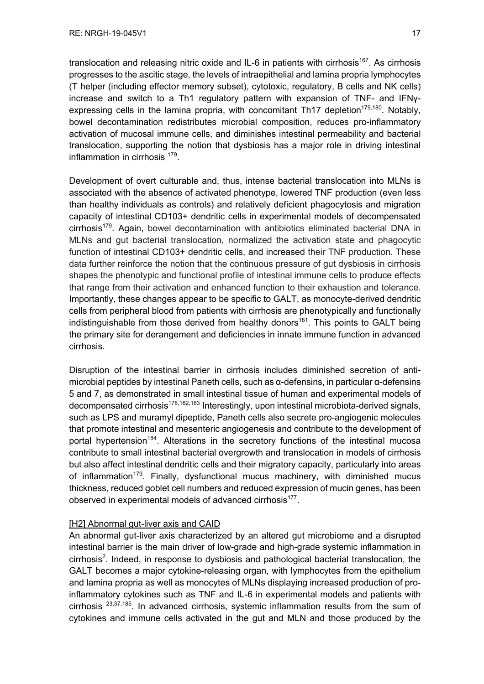translocation and releasing nitric oxide and IL-6 in patients with cirrhosis<sup>167</sup>. As cirrhosis progresses to the ascitic stage, the levels of intraepithelial and lamina propria lymphocytes (T helper (including effector memory subset), cytotoxic, regulatory, B cells and NK cells) increase and switch to a Th1 regulatory pattern with expansion of TNF- and IFNγexpressing cells in the lamina propria, with concomitant Th17 depletion<sup>179,180</sup>. Notably, bowel decontamination redistributes microbial composition, reduces pro-inflammatory activation of mucosal immune cells, and diminishes intestinal permeability and bacterial translocation, supporting the notion that dysbiosis has a major role in driving intestinal inflammation in cirrhosis 179.

Development of overt culturable and, thus, intense bacterial translocation into MLNs is associated with the absence of activated phenotype, lowered TNF production (even less than healthy individuals as controls) and relatively deficient phagocytosis and migration capacity of intestinal CD103+ dendritic cells in experimental models of decompensated cirrhosis<sup>179</sup>. Again, bowel decontamination with antibiotics eliminated bacterial DNA in MLNs and gut bacterial translocation, normalized the activation state and phagocytic function of intestinal CD103+ dendritic cells, and increased their TNF production. These data further reinforce the notion that the continuous pressure of gut dysbiosis in cirrhosis shapes the phenotypic and functional profile of intestinal immune cells to produce effects that range from their activation and enhanced function to their exhaustion and tolerance. Importantly, these changes appear to be specific to GALT, as monocyte-derived dendritic cells from peripheral blood from patients with cirrhosis are phenotypically and functionally indistinguishable from those derived from healthy donors<sup>181</sup>. This points to GALT being the primary site for derangement and deficiencies in innate immune function in advanced cirrhosis.

Disruption of the intestinal barrier in cirrhosis includes diminished secretion of antimicrobial peptides by intestinal Paneth cells, such as α-defensins, in particular α-defensins 5 and 7, as demonstrated in small intestinal tissue of human and experimental models of decompensated cirrhosis<sup>178,182,183</sup> Interestingly, upon intestinal microbiota-derived signals, such as LPS and muramyl dipeptide, Paneth cells also secrete pro-angiogenic molecules that promote intestinal and mesenteric angiogenesis and contribute to the development of portal hypertension<sup>184</sup>. Alterations in the secretory functions of the intestinal mucosa contribute to small intestinal bacterial overgrowth and translocation in models of cirrhosis but also affect intestinal dendritic cells and their migratory capacity, particularly into areas of inflammation<sup>179</sup>. Finally, dysfunctional mucus machinery, with diminished mucus thickness, reduced goblet cell numbers and reduced expression of mucin genes, has been observed in experimental models of advanced cirrhosis<sup>177</sup>.

## [H2] Abnormal gut-liver axis and CAID

An abnormal gut-liver axis characterized by an altered gut microbiome and a disrupted intestinal barrier is the main driver of low-grade and high-grade systemic inflammation in cirrhosis<sup>2</sup>. Indeed, in response to dysbiosis and pathological bacterial translocation, the GALT becomes a major cytokine-releasing organ, with lymphocytes from the epithelium and lamina propria as well as monocytes of MLNs displaying increased production of proinflammatory cytokines such as TNF and IL-6 in experimental models and patients with cirrhosis  $23,37,185$ . In advanced cirrhosis, systemic inflammation results from the sum of cytokines and immune cells activated in the gut and MLN and those produced by the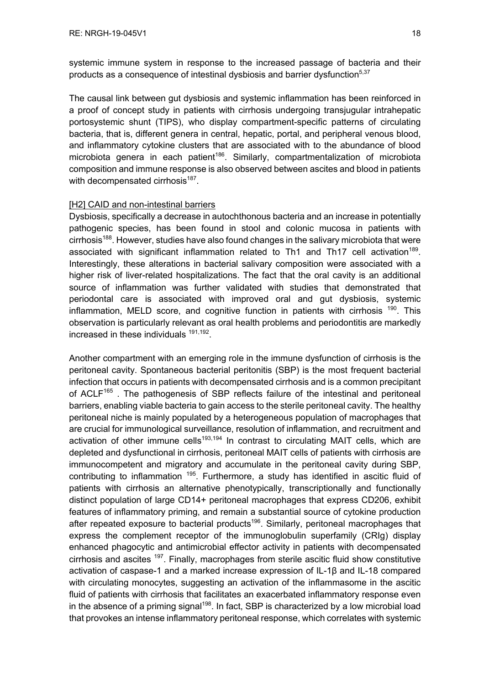systemic immune system in response to the increased passage of bacteria and their products as a consequence of intestinal dysbiosis and barrier dysfunction<sup>5,37</sup>

The causal link between gut dysbiosis and systemic inflammation has been reinforced in a proof of concept study in patients with cirrhosis undergoing transjugular intrahepatic portosystemic shunt (TIPS), who display compartment-specific patterns of circulating bacteria, that is, different genera in central, hepatic, portal, and peripheral venous blood, and inflammatory cytokine clusters that are associated with to the abundance of blood microbiota genera in each patient<sup>186</sup>. Similarly, compartmentalization of microbiota composition and immune response is also observed between ascites and blood in patients with decompensated cirrhosis $187$ .

## [H2] CAID and non-intestinal barriers

Dysbiosis, specifically a decrease in autochthonous bacteria and an increase in potentially pathogenic species, has been found in stool and colonic mucosa in patients with  $cirfbosis<sup>188</sup>$ . However, studies have also found changes in the salivary microbiota that were associated with significant inflammation related to Th1 and Th17 cell activation<sup>189</sup>. Interestingly, these alterations in bacterial salivary composition were associated with a higher risk of liver-related hospitalizations. The fact that the oral cavity is an additional source of inflammation was further validated with studies that demonstrated that periodontal care is associated with improved oral and gut dysbiosis, systemic inflammation, MELD score, and cognitive function in patients with cirrhosis  $190$ . This observation is particularly relevant as oral health problems and periodontitis are markedly increased in these individuals  $191,192$ .

Another compartment with an emerging role in the immune dysfunction of cirrhosis is the peritoneal cavity. Spontaneous bacterial peritonitis (SBP) is the most frequent bacterial infection that occurs in patients with decompensated cirrhosis and is a common precipitant of ACLF<sup>165</sup>. The pathogenesis of SBP reflects failure of the intestinal and peritoneal barriers, enabling viable bacteria to gain access to the sterile peritoneal cavity. The healthy peritoneal niche is mainly populated by a heterogeneous population of macrophages that are crucial for immunological surveillance, resolution of inflammation, and recruitment and activation of other immune cells<sup>193,194</sup> In contrast to circulating MAIT cells, which are depleted and dysfunctional in cirrhosis, peritoneal MAIT cells of patients with cirrhosis are immunocompetent and migratory and accumulate in the peritoneal cavity during SBP, contributing to inflammation <sup>195</sup>. Furthermore, a study has identified in ascitic fluid of patients with cirrhosis an alternative phenotypically, transcriptionally and functionally distinct population of large CD14+ peritoneal macrophages that express CD206, exhibit features of inflammatory priming, and remain a substantial source of cytokine production after repeated exposure to bacterial products<sup>196</sup>. Similarly, peritoneal macrophages that express the complement receptor of the immunoglobulin superfamily (CRIg) display enhanced phagocytic and antimicrobial effector activity in patients with decompensated cirrhosis and ascites <sup>197</sup>. Finally, macrophages from sterile ascitic fluid show constitutive activation of caspase-1 and a marked increase expression of IL-1β and IL-18 compared with circulating monocytes, suggesting an activation of the inflammasome in the ascitic fluid of patients with cirrhosis that facilitates an exacerbated inflammatory response even in the absence of a priming signal<sup>198</sup>. In fact, SBP is characterized by a low microbial load that provokes an intense inflammatory peritoneal response, which correlates with systemic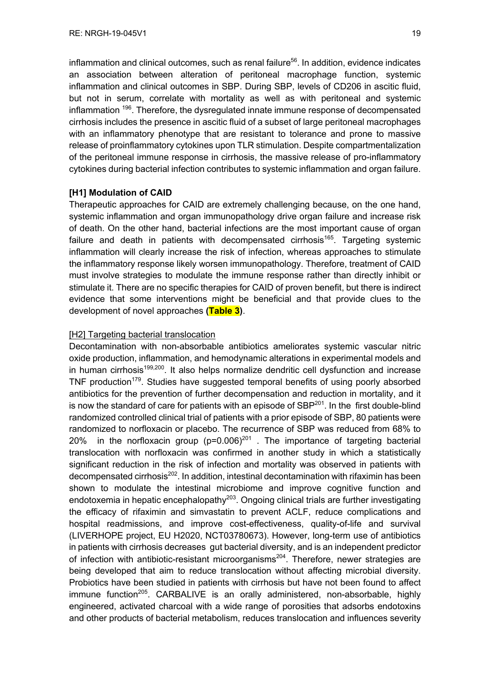inflammation and clinical outcomes, such as renal failure<sup>56</sup>. In addition, evidence indicates an association between alteration of peritoneal macrophage function, systemic inflammation and clinical outcomes in SBP. During SBP, levels of CD206 in ascitic fluid, but not in serum, correlate with mortality as well as with peritoneal and systemic inflammation <sup>196</sup>. Therefore, the dysregulated innate immune response of decompensated cirrhosis includes the presence in ascitic fluid of a subset of large peritoneal macrophages with an inflammatory phenotype that are resistant to tolerance and prone to massive release of proinflammatory cytokines upon TLR stimulation. Despite compartmentalization of the peritoneal immune response in cirrhosis, the massive release of pro-inflammatory cytokines during bacterial infection contributes to systemic inflammation and organ failure.

## **[H1] Modulation of CAID**

Therapeutic approaches for CAID are extremely challenging because, on the one hand, systemic inflammation and organ immunopathology drive organ failure and increase risk of death. On the other hand, bacterial infections are the most important cause of organ failure and death in patients with decompensated cirrhosis<sup>165</sup>. Targeting systemic inflammation will clearly increase the risk of infection, whereas approaches to stimulate the inflammatory response likely worsen immunopathology. Therefore, treatment of CAID must involve strategies to modulate the immune response rather than directly inhibit or stimulate it. There are no specific therapies for CAID of proven benefit, but there is indirect evidence that some interventions might be beneficial and that provide clues to the development of novel approaches **(Table 3)**.

## [H2] Targeting bacterial translocation

Decontamination with non-absorbable antibiotics ameliorates systemic vascular nitric oxide production, inflammation, and hemodynamic alterations in experimental models and in human cirrhosis<sup>199,200</sup>. It also helps normalize dendritic cell dysfunction and increase TNF production<sup>179</sup>. Studies have suggested temporal benefits of using poorly absorbed antibiotics for the prevention of further decompensation and reduction in mortality, and it is now the standard of care for patients with an episode of  $SBP<sup>201</sup>$ . In the first double-blind randomized controlled clinical trial of patients with a prior episode of SBP, 80 patients were randomized to norfloxacin or placebo. The recurrence of SBP was reduced from 68% to 20% in the norfloxacin group  $(p=0.006)^{201}$ . The importance of targeting bacterial translocation with norfloxacin was confirmed in another study in which a statistically significant reduction in the risk of infection and mortality was observed in patients with decompensated cirrhosis<sup>202</sup>. In addition, intestinal decontamination with rifaximin has been shown to modulate the intestinal microbiome and improve cognitive function and endotoxemia in hepatic encephalopathy<sup>203</sup>. Ongoing clinical trials are further investigating the efficacy of rifaximin and simvastatin to prevent ACLF, reduce complications and hospital readmissions, and improve cost-effectiveness, quality-of-life and survival (LIVERHOPE project, EU H2020, NCT03780673). However, long-term use of antibiotics in patients with cirrhosis decreases gut bacterial diversity, and is an independent predictor of infection with antibiotic-resistant microorganisms<sup>204</sup>. Therefore, newer strategies are being developed that aim to reduce translocation without affecting microbial diversity. Probiotics have been studied in patients with cirrhosis but have not been found to affect immune function<sup>205</sup>. CARBALIVE is an orally administered, non-absorbable, highly engineered, activated charcoal with a wide range of porosities that adsorbs endotoxins and other products of bacterial metabolism, reduces translocation and influences severity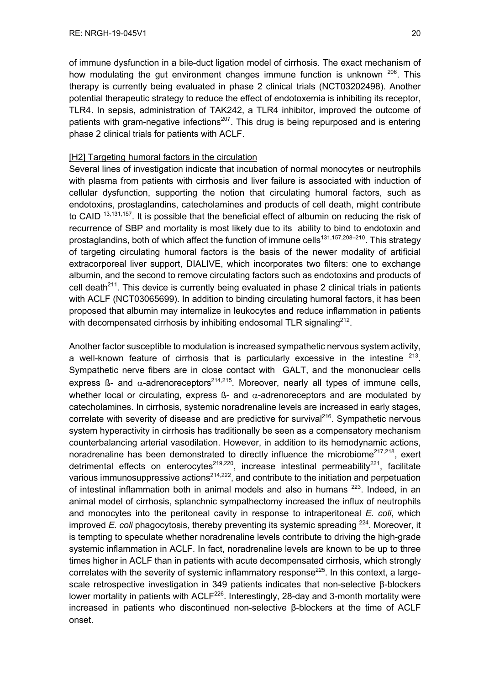of immune dysfunction in a bile-duct ligation model of cirrhosis. The exact mechanism of how modulating the gut environment changes immune function is unknown <sup>206</sup>. This therapy is currently being evaluated in phase 2 clinical trials (NCT03202498). Another potential therapeutic strategy to reduce the effect of endotoxemia is inhibiting its receptor, TLR4. In sepsis, administration of TAK242, a TLR4 inhibitor, improved the outcome of patients with gram-negative infections<sup>207</sup>. This drug is being repurposed and is entering phase 2 clinical trials for patients with ACLF.

## [H2] Targeting humoral factors in the circulation

Several lines of investigation indicate that incubation of normal monocytes or neutrophils with plasma from patients with cirrhosis and liver failure is associated with induction of cellular dysfunction, supporting the notion that circulating humoral factors, such as endotoxins, prostaglandins, catecholamines and products of cell death, might contribute to CAID<sup>13,131,157</sup>. It is possible that the beneficial effect of albumin on reducing the risk of recurrence of SBP and mortality is most likely due to its ability to bind to endotoxin and prostaglandins, both of which affect the function of immune cells<sup>131,157,208-210</sup>. This strategy of targeting circulating humoral factors is the basis of the newer modality of artificial extracorporeal liver support, DIALIVE, which incorporates two filters: one to exchange albumin, and the second to remove circulating factors such as endotoxins and products of cell death<sup>211</sup>. This device is currently being evaluated in phase 2 clinical trials in patients with ACLF (NCT03065699). In addition to binding circulating humoral factors, it has been proposed that albumin may internalize in leukocytes and reduce inflammation in patients with decompensated cirrhosis by inhibiting endosomal TLR signaling<sup>212</sup>.

Another factor susceptible to modulation is increased sympathetic nervous system activity, a well-known feature of cirrhosis that is particularly excessive in the intestine  $213$ . Sympathetic nerve fibers are in close contact with GALT, and the mononuclear cells express ß- and  $\alpha$ -adrenoreceptors<sup>214,215</sup>. Moreover, nearly all types of immune cells, whether local or circulating, express  $\beta$ - and  $\alpha$ -adrenoreceptors and are modulated by catecholamines. In cirrhosis, systemic noradrenaline levels are increased in early stages, correlate with severity of disease and are predictive for survival<sup>216</sup>. Sympathetic nervous system hyperactivity in cirrhosis has traditionally be seen as a compensatory mechanism counterbalancing arterial vasodilation. However, in addition to its hemodynamic actions, noradrenaline has been demonstrated to directly influence the microbiome<sup>217,218</sup>, exert detrimental effects on enterocytes<sup>219,220</sup>, increase intestinal permeability<sup>221</sup>, facilitate various immunosuppressive actions<sup>214,222</sup>, and contribute to the initiation and perpetuation of intestinal inflammation both in animal models and also in humans <sup>223</sup>. Indeed, in an animal model of cirrhosis, splanchnic sympathectomy increased the influx of neutrophils and monocytes into the peritoneal cavity in response to intraperitoneal *E. coli*, which improved *E. coli* phagocytosis, thereby preventing its systemic spreading <sup>224</sup>. Moreover, it is tempting to speculate whether noradrenaline levels contribute to driving the high-grade systemic inflammation in ACLF. In fact, noradrenaline levels are known to be up to three times higher in ACLF than in patients with acute decompensated cirrhosis, which strongly correlates with the severity of systemic inflammatory response<sup>225</sup>. In this context, a largescale retrospective investigation in 349 patients indicates that non-selective β-blockers lower mortality in patients with ACLF<sup>226</sup>. Interestingly, 28-day and 3-month mortality were increased in patients who discontinued non-selective β-blockers at the time of ACLF onset.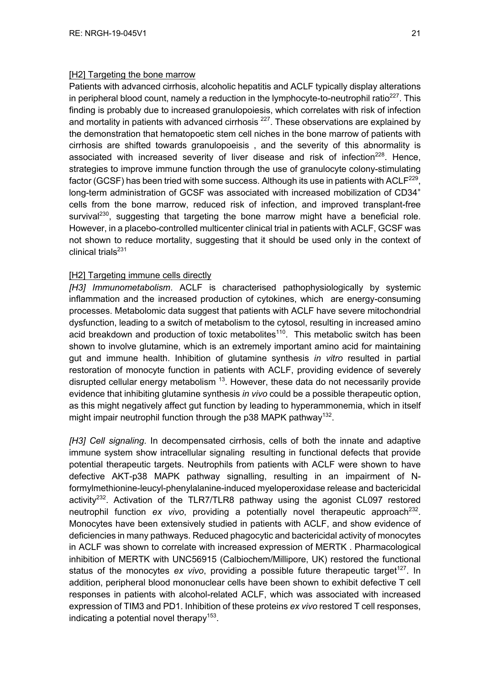## [H2] Targeting the bone marrow

Patients with advanced cirrhosis, alcoholic hepatitis and ACLF typically display alterations in peripheral blood count, namely a reduction in the lymphocyte-to-neutrophil ratio<sup>227</sup>. This finding is probably due to increased granulopoiesis, which correlates with risk of infection and mortality in patients with advanced cirrhosis  $^{227}$ . These observations are explained by the demonstration that hematopoetic stem cell niches in the bone marrow of patients with cirrhosis are shifted towards granulopoeisis , and the severity of this abnormality is associated with increased severity of liver disease and risk of infection<sup>228</sup>. Hence, strategies to improve immune function through the use of granulocyte colony-stimulating factor (GCSF) has been tried with some success. Although its use in patients with ACLF<sup>229</sup>, long-term administration of GCSF was associated with increased mobilization of CD34<sup>+</sup> cells from the bone marrow, reduced risk of infection, and improved transplant-free survival<sup>230</sup>, suggesting that targeting the bone marrow might have a beneficial role. However, in a placebo-controlled multicenter clinical trial in patients with ACLF, GCSF was not shown to reduce mortality, suggesting that it should be used only in the context of clinical trials $^{231}$ 

## [H2] Targeting immune cells directly

*[H3] Immunometabolism*. ACLF is characterised pathophysiologically by systemic inflammation and the increased production of cytokines, which are energy-consuming processes. Metabolomic data suggest that patients with ACLF have severe mitochondrial dysfunction, leading to a switch of metabolism to the cytosol, resulting in increased amino acid breakdown and production of toxic metabolites<sup>110</sup>. This metabolic switch has been shown to involve glutamine, which is an extremely important amino acid for maintaining gut and immune health. Inhibition of glutamine synthesis *in vitro* resulted in partial restoration of monocyte function in patients with ACLF, providing evidence of severely disrupted cellular energy metabolism  $13$ . However, these data do not necessarily provide evidence that inhibiting glutamine synthesis *in vivo* could be a possible therapeutic option, as this might negatively affect gut function by leading to hyperammonemia, which in itself might impair neutrophil function through the  $p38$  MAPK pathway<sup>132</sup>.

*[H3] Cell signaling*. In decompensated cirrhosis, cells of both the innate and adaptive immune system show intracellular signaling resulting in functional defects that provide potential therapeutic targets. Neutrophils from patients with ACLF were shown to have defective AKT-p38 MAPK pathway signalling, resulting in an impairment of Nformylmethionine-leucyl-phenylalanine-induced myeloperoxidase release and bactericidal activity<sup>232</sup>. Activation of the TLR7/TLR8 pathway using the agonist CL097 restored neutrophil function *ex vivo*, providing a potentially novel therapeutic approach<sup>232</sup>. Monocytes have been extensively studied in patients with ACLF, and show evidence of deficiencies in many pathways. Reduced phagocytic and bactericidal activity of monocytes in ACLF was shown to correlate with increased expression of MERTK . Pharmacological inhibition of MERTK with UNC56915 (Calbiochem/Millipore, UK) restored the functional status of the monocytes ex vivo, providing a possible future therapeutic target<sup>127</sup>. In addition, peripheral blood mononuclear cells have been shown to exhibit defective T cell responses in patients with alcohol-related ACLF, which was associated with increased expression of TIM3 and PD1. Inhibition of these proteins *ex vivo* restored T cell responses, indicating a potential novel therapy<sup>153</sup>.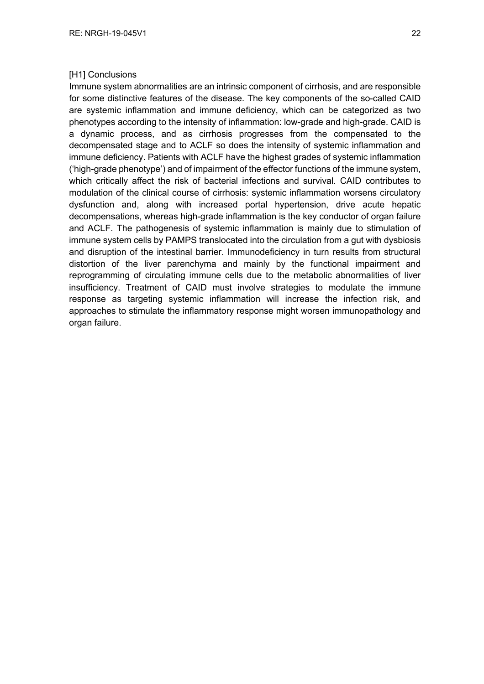## [H1] Conclusions

Immune system abnormalities are an intrinsic component of cirrhosis, and are responsible for some distinctive features of the disease. The key components of the so-called CAID are systemic inflammation and immune deficiency, which can be categorized as two phenotypes according to the intensity of inflammation: low-grade and high-grade. CAID is a dynamic process, and as cirrhosis progresses from the compensated to the decompensated stage and to ACLF so does the intensity of systemic inflammation and immune deficiency. Patients with ACLF have the highest grades of systemic inflammation ('high-grade phenotype') and of impairment of the effector functions of the immune system, which critically affect the risk of bacterial infections and survival. CAID contributes to modulation of the clinical course of cirrhosis: systemic inflammation worsens circulatory dysfunction and, along with increased portal hypertension, drive acute hepatic decompensations, whereas high-grade inflammation is the key conductor of organ failure and ACLF. The pathogenesis of systemic inflammation is mainly due to stimulation of immune system cells by PAMPS translocated into the circulation from a gut with dysbiosis and disruption of the intestinal barrier. Immunodeficiency in turn results from structural distortion of the liver parenchyma and mainly by the functional impairment and reprogramming of circulating immune cells due to the metabolic abnormalities of liver insufficiency. Treatment of CAID must involve strategies to modulate the immune response as targeting systemic inflammation will increase the infection risk, and approaches to stimulate the inflammatory response might worsen immunopathology and organ failure.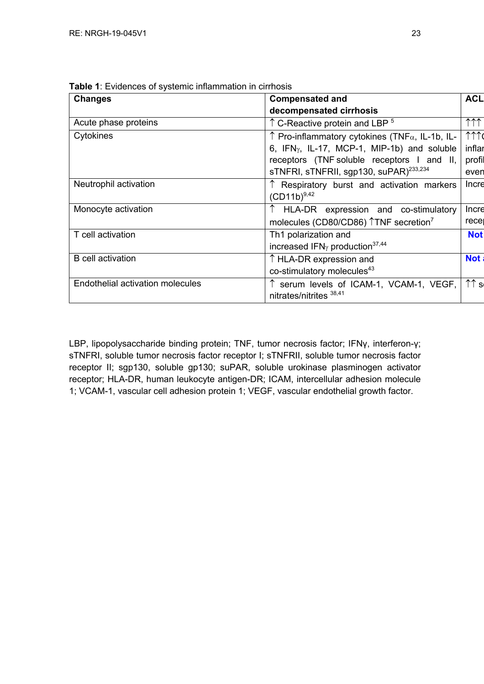| <b>Changes</b>                   | <b>Compensated and</b>                                                   | <b>ACL</b>                   |
|----------------------------------|--------------------------------------------------------------------------|------------------------------|
|                                  | decompensated cirrhosis                                                  |                              |
| Acute phase proteins             | $\uparrow$ C-Reactive protein and LBP $^5$                               | $\uparrow \uparrow \uparrow$ |
| Cytokines                        | $\uparrow$ Pro-inflammatory cytokines (TNF $\alpha$ , IL-1b, IL-         | $\uparrow \uparrow \uparrow$ |
|                                  | 6, $IFNY$ , IL-17, MCP-1, MIP-1b) and soluble                            | inflar                       |
|                                  | receptors (TNF soluble receptors I and II,                               | profil                       |
|                                  | sTNFRI, sTNFRII, sgp130, suPAR) <sup>233,234</sup>                       | even                         |
| Neutrophil activation            | Respiratory burst and activation markers                                 | Incre                        |
|                                  | $(CD11b)^{9,42}$                                                         |                              |
| Monocyte activation              | ↑ HLA-DR expression and co-stimulatory                                   | Incre                        |
|                                  | molecules (CD80/CD86) TNF secretion <sup>7</sup>                         | recer                        |
| T cell activation                | Th1 polarization and                                                     | <b>Not</b>                   |
|                                  | increased IFN <sub><math>\gamma</math></sub> production <sup>37,44</sup> |                              |
| <b>B</b> cell activation         | ↑ HLA-DR expression and                                                  | <b>Not</b>                   |
|                                  | co-stimulatory molecules <sup>43</sup>                                   |                              |
| Endothelial activation molecules | serum levels of ICAM-1, VCAM-1, VEGF,                                    | $\uparrow \uparrow$ s        |
|                                  | nitrates/nitrites <sup>38,41</sup>                                       |                              |

**Table 1**: Evidences of systemic inflammation in cirrhosis

LBP, lipopolysaccharide binding protein; TNF, tumor necrosis factor; IFNγ, interferon-γ; sTNFRI, soluble tumor necrosis factor receptor I; sTNFRII, soluble tumor necrosis factor receptor II; sgp130, soluble gp130; suPAR, soluble urokinase plasminogen activator receptor; HLA-DR, human leukocyte antigen-DR; ICAM, intercellular adhesion molecule 1; VCAM-1, vascular cell adhesion protein 1; VEGF, vascular endothelial growth factor.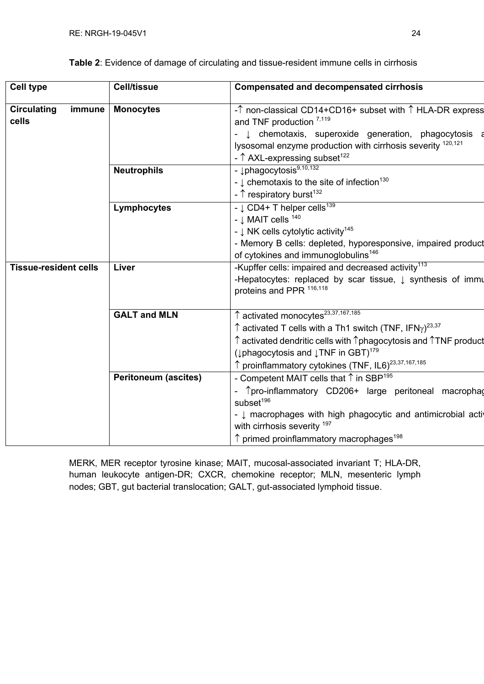| <b>Cell type</b>                      | <b>Cell/tissue</b>          | <b>Compensated and decompensated cirrhosis</b>                                                          |  |  |  |  |
|---------------------------------------|-----------------------------|---------------------------------------------------------------------------------------------------------|--|--|--|--|
| <b>Circulating</b><br>immune<br>cells | <b>Monocytes</b>            | -↑ non-classical CD14+CD16+ subset with ↑ HLA-DR express<br>and TNF production $^{7,119}$               |  |  |  |  |
|                                       |                             | t chemotaxis, superoxide generation, phagocytosis a                                                     |  |  |  |  |
|                                       |                             | lysosomal enzyme production with cirrhosis severity 120,121                                             |  |  |  |  |
|                                       |                             | - $\uparrow$ AXL-expressing subset <sup>122</sup>                                                       |  |  |  |  |
|                                       | <b>Neutrophils</b>          | - $\downarrow$ phagocytosis $9,10,132$                                                                  |  |  |  |  |
|                                       |                             | - $\downarrow$ chemotaxis to the site of infection <sup>130</sup>                                       |  |  |  |  |
|                                       |                             | - $\uparrow$ respiratory burst <sup>132</sup>                                                           |  |  |  |  |
|                                       | Lymphocytes                 | - $\downarrow$ CD4+ T helper cells <sup>139</sup>                                                       |  |  |  |  |
|                                       |                             | - $\downarrow$ MAIT cells $^{140}$                                                                      |  |  |  |  |
|                                       |                             | - $\downarrow$ NK cells cytolytic activity <sup>145</sup>                                               |  |  |  |  |
|                                       |                             | - Memory B cells: depleted, hyporesponsive, impaired product                                            |  |  |  |  |
|                                       |                             | of cytokines and immunoglobulins <sup>146</sup>                                                         |  |  |  |  |
| <b>Tissue-resident cells</b>          | Liver                       | -Kupffer cells: impaired and decreased activity <sup>113</sup>                                          |  |  |  |  |
|                                       |                             | -Hepatocytes: replaced by scar tissue, $\downarrow$ synthesis of immu                                   |  |  |  |  |
|                                       |                             | proteins and PPR 116,118                                                                                |  |  |  |  |
|                                       | <b>GALT and MLN</b>         | ↑ activated monocytes <sup>23,37,167,185</sup>                                                          |  |  |  |  |
|                                       |                             | $\uparrow$ activated T cells with a Th1 switch (TNF, IFN $\gamma$ ) <sup>23,37</sup>                    |  |  |  |  |
|                                       |                             | $\uparrow$ activated dendritic cells with $\uparrow$ phagocytosis and $\uparrow$ TNF product            |  |  |  |  |
|                                       |                             | ( $\downarrow$ phagocytosis and $\downarrow$ TNF in GBT) <sup>179</sup>                                 |  |  |  |  |
|                                       |                             | ↑ proinflammatory cytokines (TNF, IL6) <sup>23,37,167,185</sup>                                         |  |  |  |  |
|                                       | <b>Peritoneum (ascites)</b> | - Competent MAIT cells that $\uparrow$ in SBP <sup>195</sup>                                            |  |  |  |  |
|                                       |                             |                                                                                                         |  |  |  |  |
|                                       |                             | Tpro-inflammatory CD206+ large peritoneal macrophag                                                     |  |  |  |  |
|                                       |                             | subset <sup>196</sup>                                                                                   |  |  |  |  |
|                                       |                             | - $\downarrow$ macrophages with high phagocytic and antimicrobial active<br>with cirrhosis severity 197 |  |  |  |  |
|                                       |                             |                                                                                                         |  |  |  |  |
|                                       |                             | $\uparrow$ primed proinflammatory macrophages <sup>198</sup>                                            |  |  |  |  |

**Table 2**: Evidence of damage of circulating and tissue-resident immune cells in cirrhosis

MERK, MER receptor tyrosine kinase; MAIT, mucosal-associated invariant T; HLA-DR, human leukocyte antigen-DR; CXCR, chemokine receptor; MLN, mesenteric lymph nodes; GBT, gut bacterial translocation; GALT, gut-associated lymphoid tissue.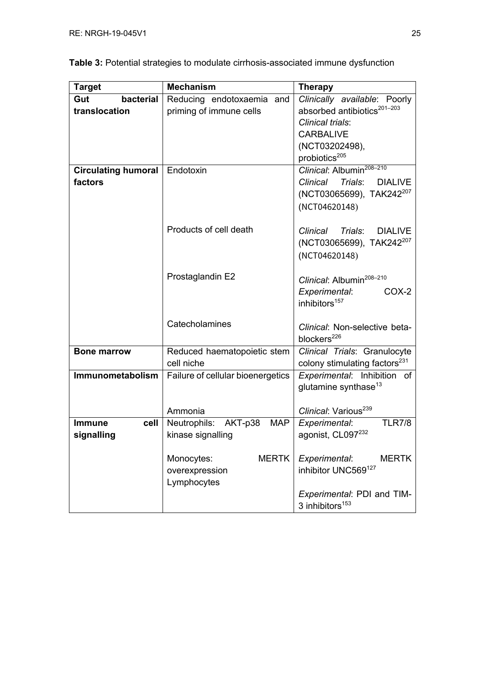| <b>Target</b>              | <b>Mechanism</b>                      | <b>Therapy</b>                            |  |
|----------------------------|---------------------------------------|-------------------------------------------|--|
| bacterial<br>Gut           | Reducing endotoxaemia and             | Clinically available: Poorly              |  |
| translocation              | priming of immune cells               | absorbed antibiotics <sup>201-203</sup>   |  |
|                            |                                       | Clinical trials:                          |  |
|                            |                                       | <b>CARBALIVE</b>                          |  |
|                            |                                       | (NCT03202498),                            |  |
|                            |                                       | probiotics <sup>205</sup>                 |  |
| <b>Circulating humoral</b> | Endotoxin                             | Clinical: Albumin <sup>208-210</sup>      |  |
| factors                    |                                       | Clinical Trials:<br><b>DIALIVE</b>        |  |
|                            |                                       | (NCT03065699), TAK242 <sup>207</sup>      |  |
|                            |                                       | (NCT04620148)                             |  |
|                            |                                       |                                           |  |
|                            | Products of cell death                | Clinical Trials:<br><b>DIALIVE</b>        |  |
|                            |                                       | (NCT03065699), TAK242 <sup>207</sup>      |  |
|                            |                                       | (NCT04620148)                             |  |
|                            |                                       |                                           |  |
|                            | Prostaglandin E2                      | Clinical: Albumin <sup>208-210</sup>      |  |
|                            |                                       | Experimental:<br>COX-2                    |  |
|                            |                                       | inhibitors <sup>157</sup>                 |  |
|                            |                                       |                                           |  |
|                            | Catecholamines                        | Clinical: Non-selective beta-             |  |
|                            |                                       | blockers <sup>226</sup>                   |  |
| <b>Bone marrow</b>         | Reduced haematopoietic stem           | Clinical Trials: Granulocyte              |  |
|                            | cell niche                            | colony stimulating factors <sup>231</sup> |  |
| Immunometabolism           | Failure of cellular bioenergetics     | Experimental: Inhibition of               |  |
|                            |                                       | glutamine synthase <sup>13</sup>          |  |
|                            |                                       |                                           |  |
|                            | Ammonia                               | Clinical: Various <sup>239</sup>          |  |
| <b>Immune</b><br>cell      | Neutrophils:<br>AKT-p38<br><b>MAP</b> | <b>TLR7/8</b><br>Experimental:            |  |
| signalling                 | kinase signalling                     | agonist, CL097232                         |  |
|                            |                                       |                                           |  |
|                            | Monocytes:<br><b>MERTK</b>            | Experimental:<br><b>MERTK</b>             |  |
|                            | overexpression                        | inhibitor UNC569127                       |  |
|                            | Lymphocytes                           |                                           |  |
|                            |                                       | Experimental: PDI and TIM-                |  |
|                            |                                       | 3 inhibitors <sup>153</sup>               |  |

| Table 3: Potential strategies to modulate cirrhosis-associated immune dysfunction |  |  |
|-----------------------------------------------------------------------------------|--|--|
|-----------------------------------------------------------------------------------|--|--|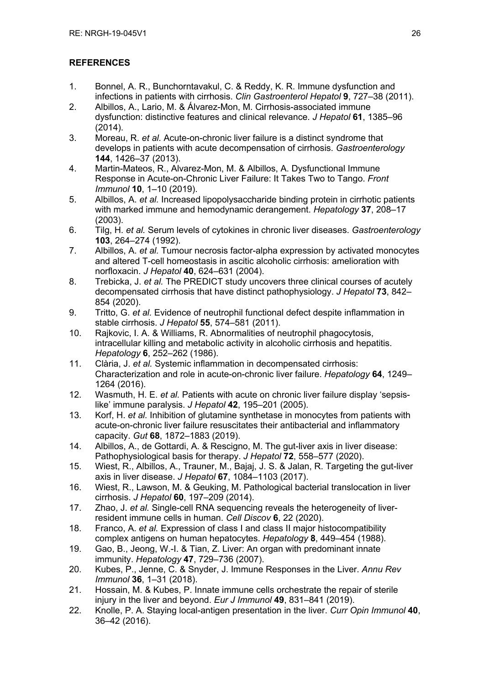# **REFERENCES**

- 1. Bonnel, A. R., Bunchorntavakul, C. & Reddy, K. R. Immune dysfunction and infections in patients with cirrhosis. *Clin Gastroenterol Hepatol* **9**, 727–38 (2011).
- 2. Albillos, A., Lario, M. & Álvarez-Mon, M. Cirrhosis-associated immune dysfunction: distinctive features and clinical relevance. *J Hepatol* **61**, 1385–96 (2014).
- 3. Moreau, R. *et al.* Acute-on-chronic liver failure is a distinct syndrome that develops in patients with acute decompensation of cirrhosis. *Gastroenterology* **144**, 1426–37 (2013).
- 4. Martin-Mateos, R., Alvarez-Mon, M. & Albillos, A. Dysfunctional Immune Response in Acute-on-Chronic Liver Failure: It Takes Two to Tango. *Front Immunol* **10**, 1–10 (2019).
- 5. Albillos, A. *et al.* Increased lipopolysaccharide binding protein in cirrhotic patients with marked immune and hemodynamic derangement. *Hepatology* **37**, 208–17 (2003).
- 6. Tilg, H. *et al.* Serum levels of cytokines in chronic liver diseases. *Gastroenterology* **103**, 264–274 (1992).
- 7. Albillos, A. *et al.* Tumour necrosis factor-alpha expression by activated monocytes and altered T-cell homeostasis in ascitic alcoholic cirrhosis: amelioration with norfloxacin. *J Hepatol* **40**, 624–631 (2004).
- 8. Trebicka, J. *et al.* The PREDICT study uncovers three clinical courses of acutely decompensated cirrhosis that have distinct pathophysiology. *J Hepatol* **73**, 842– 854 (2020).
- 9. Tritto, G. *et al.* Evidence of neutrophil functional defect despite inflammation in stable cirrhosis. *J Hepatol* **55**, 574–581 (2011).
- 10. Rajkovic, I. A. & Williams, R. Abnormalities of neutrophil phagocytosis, intracellular killing and metabolic activity in alcoholic cirrhosis and hepatitis. *Hepatology* **6**, 252–262 (1986).
- 11. Clària, J. *et al.* Systemic inflammation in decompensated cirrhosis: Characterization and role in acute-on-chronic liver failure. *Hepatology* **64**, 1249– 1264 (2016).
- 12. Wasmuth, H. E. *et al.* Patients with acute on chronic liver failure display 'sepsislike' immune paralysis. *J Hepatol* **42**, 195–201 (2005).
- 13. Korf, H. *et al.* Inhibition of glutamine synthetase in monocytes from patients with acute-on-chronic liver failure resuscitates their antibacterial and inflammatory capacity. *Gut* **68**, 1872–1883 (2019).
- 14. Albillos, A., de Gottardi, A. & Rescigno, M. The gut-liver axis in liver disease: Pathophysiological basis for therapy. *J Hepatol* **72**, 558–577 (2020).
- 15. Wiest, R., Albillos, A., Trauner, M., Bajaj, J. S. & Jalan, R. Targeting the gut-liver axis in liver disease. *J Hepatol* **67**, 1084–1103 (2017).
- 16. Wiest, R., Lawson, M. & Geuking, M. Pathological bacterial translocation in liver cirrhosis. *J Hepatol* **60**, 197–209 (2014).
- 17. Zhao, J. *et al.* Single-cell RNA sequencing reveals the heterogeneity of liverresident immune cells in human. *Cell Discov* **6**, 22 (2020).
- 18. Franco, A. *et al.* Expression of class I and class II major histocompatibility complex antigens on human hepatocytes. *Hepatology* **8**, 449–454 (1988).
- 19. Gao, B., Jeong, W.-I. & Tian, Z. Liver: An organ with predominant innate immunity. *Hepatology* **47**, 729–736 (2007).
- 20. Kubes, P., Jenne, C. & Snyder, J. Immune Responses in the Liver. *Annu Rev Immunol* **36**, 1–31 (2018).
- 21. Hossain, M. & Kubes, P. Innate immune cells orchestrate the repair of sterile injury in the liver and beyond. *Eur J Immunol* **49**, 831–841 (2019).
- 22. Knolle, P. A. Staying local-antigen presentation in the liver. *Curr Opin Immunol* **40**, 36–42 (2016).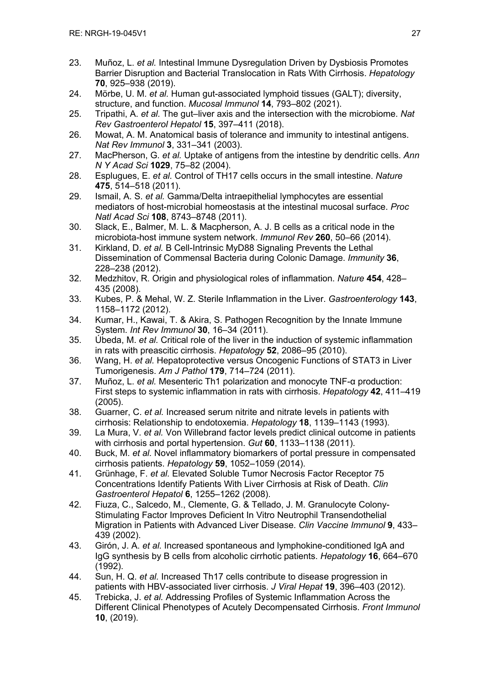- 23. Muñoz, L. *et al.* Intestinal Immune Dysregulation Driven by Dysbiosis Promotes Barrier Disruption and Bacterial Translocation in Rats With Cirrhosis. *Hepatology* **70**, 925–938 (2019).
- 24. Mörbe, U. M. *et al.* Human gut-associated lymphoid tissues (GALT); diversity, structure, and function. *Mucosal Immunol* **14**, 793–802 (2021).
- 25. Tripathi, A. *et al.* The gut–liver axis and the intersection with the microbiome. *Nat Rev Gastroenterol Hepatol* **15**, 397–411 (2018).
- 26. Mowat, A. M. Anatomical basis of tolerance and immunity to intestinal antigens. *Nat Rev Immunol* **3**, 331–341 (2003).
- 27. MacPherson, G. *et al.* Uptake of antigens from the intestine by dendritic cells. *Ann N Y Acad Sci* **1029**, 75–82 (2004).
- 28. Esplugues, E. *et al.* Control of TH17 cells occurs in the small intestine. *Nature* **475**, 514–518 (2011).
- 29. Ismail, A. S. *et al.* Gamma/Delta intraepithelial lymphocytes are essential mediators of host-microbial homeostasis at the intestinal mucosal surface. *Proc Natl Acad Sci* **108**, 8743–8748 (2011).
- 30. Slack, E., Balmer, M. L. & Macpherson, A. J. B cells as a critical node in the microbiota-host immune system network. *Immunol Rev* **260**, 50–66 (2014).
- 31. Kirkland, D. *et al.* B Cell-Intrinsic MyD88 Signaling Prevents the Lethal Dissemination of Commensal Bacteria during Colonic Damage. *Immunity* **36**, 228–238 (2012).
- 32. Medzhitov, R. Origin and physiological roles of inflammation. *Nature* **454**, 428– 435 (2008).
- 33. Kubes, P. & Mehal, W. Z. Sterile Inflammation in the Liver. *Gastroenterology* **143**, 1158–1172 (2012).
- 34. Kumar, H., Kawai, T. & Akira, S. Pathogen Recognition by the Innate Immune System. *Int Rev Immunol* **30**, 16–34 (2011).
- 35. Úbeda, M. *et al.* Critical role of the liver in the induction of systemic inflammation in rats with preascitic cirrhosis. *Hepatology* **52**, 2086–95 (2010).
- 36. Wang, H. *et al.* Hepatoprotective versus Oncogenic Functions of STAT3 in Liver Tumorigenesis. *Am J Pathol* **179**, 714–724 (2011).
- 37. Muñoz, L. *et al.* Mesenteric Th1 polarization and monocyte TNF-α production: First steps to systemic inflammation in rats with cirrhosis. *Hepatology* **42**, 411–419 (2005).
- 38. Guarner, C. *et al.* Increased serum nitrite and nitrate levels in patients with cirrhosis: Relationship to endotoxemia. *Hepatology* **18**, 1139–1143 (1993).
- 39. La Mura, V. *et al.* Von Willebrand factor levels predict clinical outcome in patients with cirrhosis and portal hypertension. *Gut* **60**, 1133–1138 (2011).
- 40. Buck, M. *et al.* Novel inflammatory biomarkers of portal pressure in compensated cirrhosis patients. *Hepatology* **59**, 1052–1059 (2014).
- 41. Grünhage, F. *et al.* Elevated Soluble Tumor Necrosis Factor Receptor 75 Concentrations Identify Patients With Liver Cirrhosis at Risk of Death. *Clin Gastroenterol Hepatol* **6**, 1255–1262 (2008).
- 42. Fiuza, C., Salcedo, M., Clemente, G. & Tellado, J. M. Granulocyte Colony-Stimulating Factor Improves Deficient In Vitro Neutrophil Transendothelial Migration in Patients with Advanced Liver Disease. *Clin Vaccine Immunol* **9**, 433– 439 (2002).
- 43. Girón, J. A. *et al.* Increased spontaneous and lymphokine-conditioned IgA and IgG synthesis by B cells from alcoholic cirrhotic patients. *Hepatology* **16**, 664–670 (1992).
- 44. Sun, H. Q. *et al.* Increased Th17 cells contribute to disease progression in patients with HBV-associated liver cirrhosis. *J Viral Hepat* **19**, 396–403 (2012).
- 45. Trebicka, J. *et al.* Addressing Profiles of Systemic Inflammation Across the Different Clinical Phenotypes of Acutely Decompensated Cirrhosis. *Front Immunol* **10**, (2019).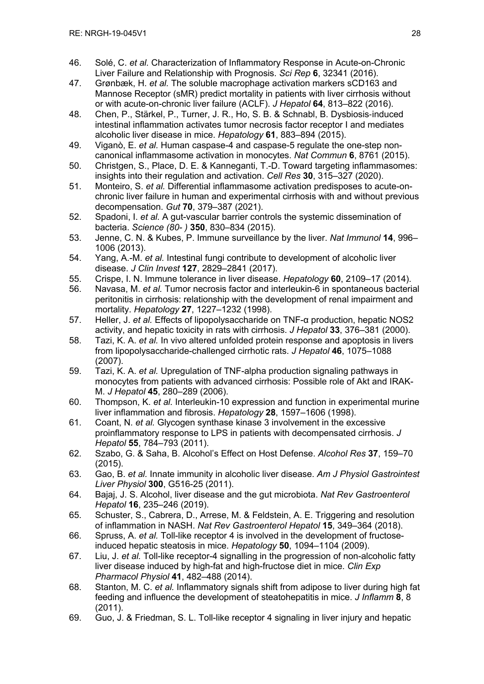- 46. Solé, C. *et al.* Characterization of Inflammatory Response in Acute-on-Chronic Liver Failure and Relationship with Prognosis. *Sci Rep* **6**, 32341 (2016).
- 47. Grønbæk, H. *et al.* The soluble macrophage activation markers sCD163 and Mannose Receptor (sMR) predict mortality in patients with liver cirrhosis without or with acute-on-chronic liver failure (ACLF). *J Hepatol* **64**, 813–822 (2016).
- 48. Chen, P., Stärkel, P., Turner, J. R., Ho, S. B. & Schnabl, B. Dysbiosis-induced intestinal inflammation activates tumor necrosis factor receptor I and mediates alcoholic liver disease in mice. *Hepatology* **61**, 883–894 (2015).
- 49. Viganò, E. *et al.* Human caspase-4 and caspase-5 regulate the one-step noncanonical inflammasome activation in monocytes. *Nat Commun* **6**, 8761 (2015).
- 50. Christgen, S., Place, D. E. & Kanneganti, T.-D. Toward targeting inflammasomes: insights into their regulation and activation. *Cell Res* **30**, 315–327 (2020).
- 51. Monteiro, S. *et al.* Differential inflammasome activation predisposes to acute-onchronic liver failure in human and experimental cirrhosis with and without previous decompensation. *Gut* **70**, 379–387 (2021).
- 52. Spadoni, I. *et al.* A gut-vascular barrier controls the systemic dissemination of bacteria. *Science (80- )* **350**, 830–834 (2015).
- 53. Jenne, C. N. & Kubes, P. Immune surveillance by the liver. *Nat Immunol* **14**, 996– 1006 (2013).
- 54. Yang, A.-M. *et al.* Intestinal fungi contribute to development of alcoholic liver disease. *J Clin Invest* **127**, 2829–2841 (2017).
- 55. Crispe, I. N. Immune tolerance in liver disease. *Hepatology* **60**, 2109–17 (2014).
- 56. Navasa, M. *et al.* Tumor necrosis factor and interleukin-6 in spontaneous bacterial peritonitis in cirrhosis: relationship with the development of renal impairment and mortality. *Hepatology* **27**, 1227–1232 (1998).
- 57. Heller, J. *et al.* Effects of lipopolysaccharide on TNF-α production, hepatic NOS2 activity, and hepatic toxicity in rats with cirrhosis. *J Hepatol* **33**, 376–381 (2000).
- 58. Tazi, K. A. *et al.* In vivo altered unfolded protein response and apoptosis in livers from lipopolysaccharide-challenged cirrhotic rats. *J Hepatol* **46**, 1075–1088 (2007).
- 59. Tazi, K. A. *et al.* Upregulation of TNF-alpha production signaling pathways in monocytes from patients with advanced cirrhosis: Possible role of Akt and IRAK-M. *J Hepatol* **45**, 280–289 (2006).
- 60. Thompson, K. *et al.* Interleukin-10 expression and function in experimental murine liver inflammation and fibrosis. *Hepatology* **28**, 1597–1606 (1998).
- 61. Coant, N. *et al.* Glycogen synthase kinase 3 involvement in the excessive proinflammatory response to LPS in patients with decompensated cirrhosis. *J Hepatol* **55**, 784–793 (2011).
- 62. Szabo, G. & Saha, B. Alcohol's Effect on Host Defense. *Alcohol Res* **37**, 159–70 (2015).
- 63. Gao, B. *et al.* Innate immunity in alcoholic liver disease. *Am J Physiol Gastrointest Liver Physiol* **300**, G516-25 (2011).
- 64. Bajaj, J. S. Alcohol, liver disease and the gut microbiota. *Nat Rev Gastroenterol Hepatol* **16**, 235–246 (2019).
- 65. Schuster, S., Cabrera, D., Arrese, M. & Feldstein, A. E. Triggering and resolution of inflammation in NASH. *Nat Rev Gastroenterol Hepatol* **15**, 349–364 (2018).
- 66. Spruss, A. *et al.* Toll-like receptor 4 is involved in the development of fructoseinduced hepatic steatosis in mice. *Hepatology* **50**, 1094–1104 (2009).
- 67. Liu, J. *et al.* Toll-like receptor-4 signalling in the progression of non-alcoholic fatty liver disease induced by high-fat and high-fructose diet in mice. *Clin Exp Pharmacol Physiol* **41**, 482–488 (2014).
- 68. Stanton, M. C. *et al.* Inflammatory signals shift from adipose to liver during high fat feeding and influence the development of steatohepatitis in mice. *J Inflamm* **8**, 8 (2011).
- 69. Guo, J. & Friedman, S. L. Toll-like receptor 4 signaling in liver injury and hepatic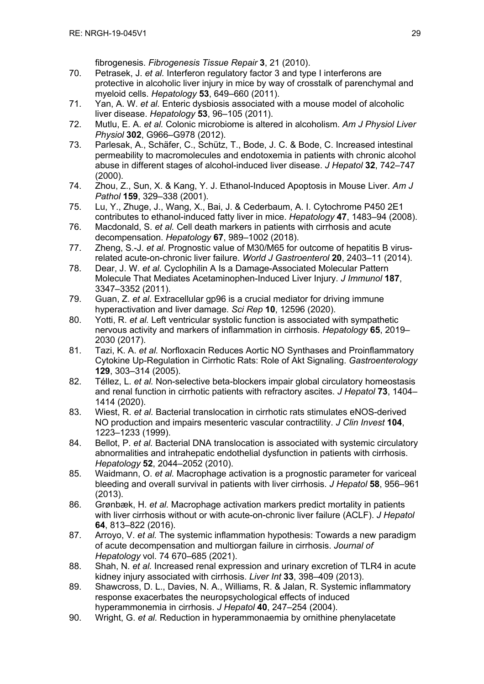fibrogenesis. *Fibrogenesis Tissue Repair* **3**, 21 (2010).

- 70. Petrasek, J. *et al.* Interferon regulatory factor 3 and type I interferons are protective in alcoholic liver injury in mice by way of crosstalk of parenchymal and myeloid cells. *Hepatology* **53**, 649–660 (2011).
- 71. Yan, A. W. *et al.* Enteric dysbiosis associated with a mouse model of alcoholic liver disease. *Hepatology* **53**, 96–105 (2011).
- 72. Mutlu, E. A. *et al.* Colonic microbiome is altered in alcoholism. *Am J Physiol Liver Physiol* **302**, G966–G978 (2012).
- 73. Parlesak, A., Schäfer, C., Schütz, T., Bode, J. C. & Bode, C. Increased intestinal permeability to macromolecules and endotoxemia in patients with chronic alcohol abuse in different stages of alcohol-induced liver disease. *J Hepatol* **32**, 742–747 (2000).
- 74. Zhou, Z., Sun, X. & Kang, Y. J. Ethanol-Induced Apoptosis in Mouse Liver. *Am J Pathol* **159**, 329–338 (2001).
- 75. Lu, Y., Zhuge, J., Wang, X., Bai, J. & Cederbaum, A. I. Cytochrome P450 2E1 contributes to ethanol-induced fatty liver in mice. *Hepatology* **47**, 1483–94 (2008).
- 76. Macdonald, S. *et al.* Cell death markers in patients with cirrhosis and acute decompensation. *Hepatology* **67**, 989–1002 (2018).
- 77. Zheng, S.-J. *et al.* Prognostic value of M30/M65 for outcome of hepatitis B virusrelated acute-on-chronic liver failure. *World J Gastroenterol* **20**, 2403–11 (2014).
- 78. Dear, J. W. *et al.* Cyclophilin A Is a Damage-Associated Molecular Pattern Molecule That Mediates Acetaminophen-Induced Liver Injury. *J Immunol* **187**, 3347–3352 (2011).
- 79. Guan, Z. *et al.* Extracellular gp96 is a crucial mediator for driving immune hyperactivation and liver damage. *Sci Rep* **10**, 12596 (2020).
- 80. Yotti, R. *et al.* Left ventricular systolic function is associated with sympathetic nervous activity and markers of inflammation in cirrhosis. *Hepatology* **65**, 2019– 2030 (2017).
- 81. Tazi, K. A. *et al.* Norfloxacin Reduces Aortic NO Synthases and Proinflammatory Cytokine Up-Regulation in Cirrhotic Rats: Role of Akt Signaling. *Gastroenterology* **129**, 303–314 (2005).
- 82. Téllez, L. *et al.* Non-selective beta-blockers impair global circulatory homeostasis and renal function in cirrhotic patients with refractory ascites. *J Hepatol* **73**, 1404– 1414 (2020).
- 83. Wiest, R. *et al.* Bacterial translocation in cirrhotic rats stimulates eNOS-derived NO production and impairs mesenteric vascular contractility. *J Clin Invest* **104**, 1223–1233 (1999).
- 84. Bellot, P. *et al.* Bacterial DNA translocation is associated with systemic circulatory abnormalities and intrahepatic endothelial dysfunction in patients with cirrhosis. *Hepatology* **52**, 2044–2052 (2010).
- 85. Waidmann, O. *et al.* Macrophage activation is a prognostic parameter for variceal bleeding and overall survival in patients with liver cirrhosis. *J Hepatol* **58**, 956–961 (2013).
- 86. Grønbæk, H. *et al.* Macrophage activation markers predict mortality in patients with liver cirrhosis without or with acute-on-chronic liver failure (ACLF). *J Hepatol* **64**, 813–822 (2016).
- 87. Arroyo, V. *et al.* The systemic inflammation hypothesis: Towards a new paradigm of acute decompensation and multiorgan failure in cirrhosis. *Journal of Hepatology* vol. 74 670–685 (2021).
- 88. Shah, N. *et al.* Increased renal expression and urinary excretion of TLR4 in acute kidney injury associated with cirrhosis. *Liver Int* **33**, 398–409 (2013).
- 89. Shawcross, D. L., Davies, N. A., Williams, R. & Jalan, R. Systemic inflammatory response exacerbates the neuropsychological effects of induced hyperammonemia in cirrhosis. *J Hepatol* **40**, 247–254 (2004).
- 90. Wright, G. *et al.* Reduction in hyperammonaemia by ornithine phenylacetate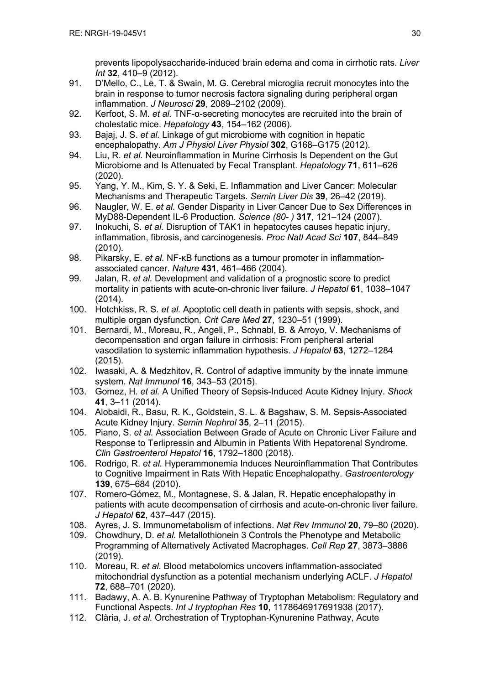prevents lipopolysaccharide-induced brain edema and coma in cirrhotic rats. *Liver Int* **32**, 410–9 (2012).

- 91. D'Mello, C., Le, T. & Swain, M. G. Cerebral microglia recruit monocytes into the brain in response to tumor necrosis factora signaling during peripheral organ inflammation. *J Neurosci* **29**, 2089–2102 (2009).
- 92. Kerfoot, S. M. *et al.* TNF-α-secreting monocytes are recruited into the brain of cholestatic mice. *Hepatology* **43**, 154–162 (2006).
- 93. Bajaj, J. S. *et al.* Linkage of gut microbiome with cognition in hepatic encephalopathy. *Am J Physiol Liver Physiol* **302**, G168–G175 (2012).
- 94. Liu, R. *et al.* Neuroinflammation in Murine Cirrhosis Is Dependent on the Gut Microbiome and Is Attenuated by Fecal Transplant. *Hepatology* **71**, 611–626 (2020).
- 95. Yang, Y. M., Kim, S. Y. & Seki, E. Inflammation and Liver Cancer: Molecular Mechanisms and Therapeutic Targets. *Semin Liver Dis* **39**, 26–42 (2019).
- 96. Naugler, W. E. *et al.* Gender Disparity in Liver Cancer Due to Sex Differences in MyD88-Dependent IL-6 Production. *Science (80- )* **317**, 121–124 (2007).
- 97. Inokuchi, S. *et al.* Disruption of TAK1 in hepatocytes causes hepatic injury, inflammation, fibrosis, and carcinogenesis. *Proc Natl Acad Sci* **107**, 844–849 (2010).
- 98. Pikarsky, E. *et al.* NF-κB functions as a tumour promoter in inflammationassociated cancer. *Nature* **431**, 461–466 (2004).
- 99. Jalan, R. *et al.* Development and validation of a prognostic score to predict mortality in patients with acute-on-chronic liver failure. *J Hepatol* **61**, 1038–1047 (2014).
- 100. Hotchkiss, R. S. *et al.* Apoptotic cell death in patients with sepsis, shock, and multiple organ dysfunction. *Crit Care Med* **27**, 1230–51 (1999).
- 101. Bernardi, M., Moreau, R., Angeli, P., Schnabl, B. & Arroyo, V. Mechanisms of decompensation and organ failure in cirrhosis: From peripheral arterial vasodilation to systemic inflammation hypothesis. *J Hepatol* **63**, 1272–1284 (2015).
- 102. Iwasaki, A. & Medzhitov, R. Control of adaptive immunity by the innate immune system. *Nat Immunol* **16**, 343–53 (2015).
- 103. Gomez, H. *et al.* A Unified Theory of Sepsis-Induced Acute Kidney Injury. *Shock* **41**, 3–11 (2014).
- 104. Alobaidi, R., Basu, R. K., Goldstein, S. L. & Bagshaw, S. M. Sepsis-Associated Acute Kidney Injury. *Semin Nephrol* **35**, 2–11 (2015).
- 105. Piano, S. *et al.* Association Between Grade of Acute on Chronic Liver Failure and Response to Terlipressin and Albumin in Patients With Hepatorenal Syndrome. *Clin Gastroenterol Hepatol* **16**, 1792–1800 (2018).
- 106. Rodrigo, R. *et al.* Hyperammonemia Induces Neuroinflammation That Contributes to Cognitive Impairment in Rats With Hepatic Encephalopathy. *Gastroenterology* **139**, 675–684 (2010).
- 107. Romero-Gómez, M., Montagnese, S. & Jalan, R. Hepatic encephalopathy in patients with acute decompensation of cirrhosis and acute-on-chronic liver failure. *J Hepatol* **62**, 437–447 (2015).
- 108. Ayres, J. S. Immunometabolism of infections. *Nat Rev Immunol* **20**, 79–80 (2020).
- 109. Chowdhury, D. *et al.* Metallothionein 3 Controls the Phenotype and Metabolic Programming of Alternatively Activated Macrophages. *Cell Rep* **27**, 3873–3886 (2019).
- 110. Moreau, R. *et al.* Blood metabolomics uncovers inflammation-associated mitochondrial dysfunction as a potential mechanism underlying ACLF. *J Hepatol* **72**, 688–701 (2020).
- 111. Badawy, A. A. B. Kynurenine Pathway of Tryptophan Metabolism: Regulatory and Functional Aspects. *Int J tryptophan Res* **10**, 1178646917691938 (2017).
- 112. Clària, J. *et al.* Orchestration of Tryptophan-Kynurenine Pathway, Acute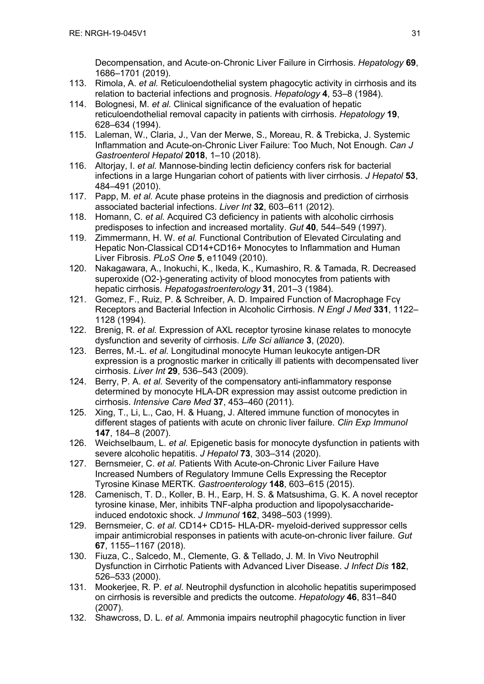Decompensation, and Acute-on-Chronic Liver Failure in Cirrhosis. *Hepatology* **69**, 1686–1701 (2019).

- 113. Rimola, A. *et al.* Reticuloendothelial system phagocytic activity in cirrhosis and its relation to bacterial infections and prognosis. *Hepatology* **4**, 53–8 (1984).
- 114. Bolognesi, M. *et al.* Clinical significance of the evaluation of hepatic reticuloendothelial removal capacity in patients with cirrhosis. *Hepatology* **19**, 628–634 (1994).
- 115. Laleman, W., Claria, J., Van der Merwe, S., Moreau, R. & Trebicka, J. Systemic Inflammation and Acute-on-Chronic Liver Failure: Too Much, Not Enough. *Can J Gastroenterol Hepatol* **2018**, 1–10 (2018).
- 116. Altorjay, I. *et al.* Mannose-binding lectin deficiency confers risk for bacterial infections in a large Hungarian cohort of patients with liver cirrhosis. *J Hepatol* **53**, 484–491 (2010).
- 117. Papp, M. *et al.* Acute phase proteins in the diagnosis and prediction of cirrhosis associated bacterial infections. *Liver Int* **32**, 603–611 (2012).
- 118. Homann, C. *et al.* Acquired C3 deficiency in patients with alcoholic cirrhosis predisposes to infection and increased mortality. *Gut* **40**, 544–549 (1997).
- 119. Zimmermann, H. W. *et al.* Functional Contribution of Elevated Circulating and Hepatic Non-Classical CD14+CD16+ Monocytes to Inflammation and Human Liver Fibrosis. *PLoS One* **5**, e11049 (2010).
- 120. Nakagawara, A., Inokuchi, K., Ikeda, K., Kumashiro, R. & Tamada, R. Decreased superoxide (O2-)-generating activity of blood monocytes from patients with hepatic cirrhosis. *Hepatogastroenterology* **31**, 201–3 (1984).
- 121. Gomez, F., Ruiz, P. & Schreiber, A. D. Impaired Function of Macrophage Fcγ Receptors and Bacterial Infection in Alcoholic Cirrhosis. *N Engl J Med* **331**, 1122– 1128 (1994).
- 122. Brenig, R. *et al.* Expression of AXL receptor tyrosine kinase relates to monocyte dysfunction and severity of cirrhosis. *Life Sci alliance* **3**, (2020).
- 123. Berres, M.-L. *et al.* Longitudinal monocyte Human leukocyte antigen-DR expression is a prognostic marker in critically ill patients with decompensated liver cirrhosis. *Liver Int* **29**, 536–543 (2009).
- 124. Berry, P. A. *et al.* Severity of the compensatory anti-inflammatory response determined by monocyte HLA-DR expression may assist outcome prediction in cirrhosis. *Intensive Care Med* **37**, 453–460 (2011).
- 125. Xing, T., Li, L., Cao, H. & Huang, J. Altered immune function of monocytes in different stages of patients with acute on chronic liver failure. *Clin Exp Immunol* **147**, 184–8 (2007).
- 126. Weichselbaum, L. *et al.* Epigenetic basis for monocyte dysfunction in patients with severe alcoholic hepatitis. *J Hepatol* **73**, 303–314 (2020).
- 127. Bernsmeier, C. *et al.* Patients With Acute-on-Chronic Liver Failure Have Increased Numbers of Regulatory Immune Cells Expressing the Receptor Tyrosine Kinase MERTK. *Gastroenterology* **148**, 603–615 (2015).
- 128. Camenisch, T. D., Koller, B. H., Earp, H. S. & Matsushima, G. K. A novel receptor tyrosine kinase, Mer, inhibits TNF-alpha production and lipopolysaccharideinduced endotoxic shock. *J Immunol* **162**, 3498–503 (1999).
- 129. Bernsmeier, C. *et al.* CD14+ CD15- HLA-DR- myeloid-derived suppressor cells impair antimicrobial responses in patients with acute-on-chronic liver failure. *Gut* **67**, 1155–1167 (2018).
- 130. Fiuza, C., Salcedo, M., Clemente, G. & Tellado, J. M. In Vivo Neutrophil Dysfunction in Cirrhotic Patients with Advanced Liver Disease. *J Infect Dis* **182**, 526–533 (2000).
- 131. Mookerjee, R. P. *et al.* Neutrophil dysfunction in alcoholic hepatitis superimposed on cirrhosis is reversible and predicts the outcome. *Hepatology* **46**, 831–840 (2007).
- 132. Shawcross, D. L. *et al.* Ammonia impairs neutrophil phagocytic function in liver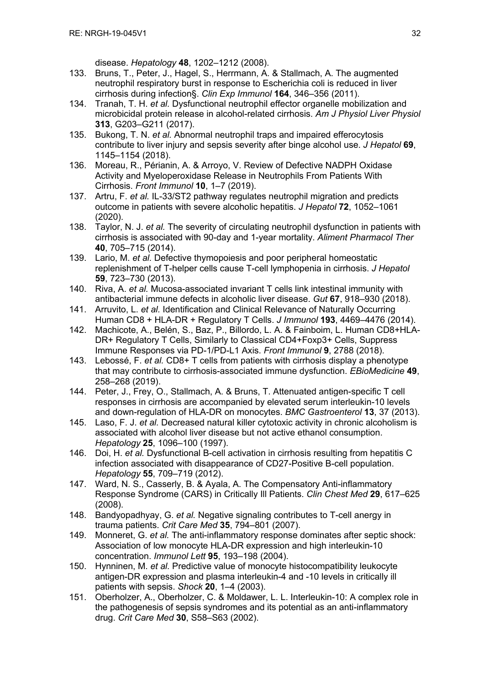disease. *Hepatology* **48**, 1202–1212 (2008).

- 133. Bruns, T., Peter, J., Hagel, S., Herrmann, A. & Stallmach, A. The augmented neutrophil respiratory burst in response to Escherichia coli is reduced in liver cirrhosis during infection§. *Clin Exp Immunol* **164**, 346–356 (2011).
- 134. Tranah, T. H. *et al.* Dysfunctional neutrophil effector organelle mobilization and microbicidal protein release in alcohol-related cirrhosis. *Am J Physiol Liver Physiol* **313**, G203–G211 (2017).
- 135. Bukong, T. N. *et al.* Abnormal neutrophil traps and impaired efferocytosis contribute to liver injury and sepsis severity after binge alcohol use. *J Hepatol* **69**, 1145–1154 (2018).
- 136. Moreau, R., Périanin, A. & Arroyo, V. Review of Defective NADPH Oxidase Activity and Myeloperoxidase Release in Neutrophils From Patients With Cirrhosis. *Front Immunol* **10**, 1–7 (2019).
- 137. Artru, F. *et al.* IL-33/ST2 pathway regulates neutrophil migration and predicts outcome in patients with severe alcoholic hepatitis. *J Hepatol* **72**, 1052–1061 (2020).
- 138. Taylor, N. J. *et al.* The severity of circulating neutrophil dysfunction in patients with cirrhosis is associated with 90-day and 1-year mortality. *Aliment Pharmacol Ther* **40**, 705–715 (2014).
- 139. Lario, M. *et al.* Defective thymopoiesis and poor peripheral homeostatic replenishment of T-helper cells cause T-cell lymphopenia in cirrhosis. *J Hepatol* **59**, 723–730 (2013).
- 140. Riva, A. *et al.* Mucosa-associated invariant T cells link intestinal immunity with antibacterial immune defects in alcoholic liver disease. *Gut* **67**, 918–930 (2018).
- 141. Arruvito, L. *et al.* Identification and Clinical Relevance of Naturally Occurring Human CD8 + HLA-DR + Regulatory T Cells. *J Immunol* **193**, 4469–4476 (2014).
- 142. Machicote, A., Belén, S., Baz, P., Billordo, L. A. & Fainboim, L. Human CD8+HLA-DR+ Regulatory T Cells, Similarly to Classical CD4+Foxp3+ Cells, Suppress Immune Responses via PD-1/PD-L1 Axis. *Front Immunol* **9**, 2788 (2018).
- 143. Lebossé, F. *et al.* CD8+ T cells from patients with cirrhosis display a phenotype that may contribute to cirrhosis-associated immune dysfunction. *EBioMedicine* **49**, 258–268 (2019).
- 144. Peter, J., Frey, O., Stallmach, A. & Bruns, T. Attenuated antigen-specific T cell responses in cirrhosis are accompanied by elevated serum interleukin-10 levels and down-regulation of HLA-DR on monocytes. *BMC Gastroenterol* **13**, 37 (2013).
- 145. Laso, F. J. *et al.* Decreased natural killer cytotoxic activity in chronic alcoholism is associated with alcohol liver disease but not active ethanol consumption. *Hepatology* **25**, 1096–100 (1997).
- 146. Doi, H. *et al.* Dysfunctional B-cell activation in cirrhosis resulting from hepatitis C infection associated with disappearance of CD27-Positive B-cell population. *Hepatology* **55**, 709–719 (2012).
- 147. Ward, N. S., Casserly, B. & Ayala, A. The Compensatory Anti-inflammatory Response Syndrome (CARS) in Critically Ill Patients. *Clin Chest Med* **29**, 617–625 (2008).
- 148. Bandyopadhyay, G. *et al.* Negative signaling contributes to T-cell anergy in trauma patients. *Crit Care Med* **35**, 794–801 (2007).
- 149. Monneret, G. *et al.* The anti-inflammatory response dominates after septic shock: Association of low monocyte HLA-DR expression and high interleukin-10 concentration. *Immunol Lett* **95**, 193–198 (2004).
- 150. Hynninen, M. *et al.* Predictive value of monocyte histocompatibility leukocyte antigen-DR expression and plasma interleukin-4 and -10 levels in critically ill patients with sepsis. *Shock* **20**, 1–4 (2003).
- 151. Oberholzer, A., Oberholzer, C. & Moldawer, L. L. Interleukin-10: A complex role in the pathogenesis of sepsis syndromes and its potential as an anti-inflammatory drug. *Crit Care Med* **30**, S58–S63 (2002).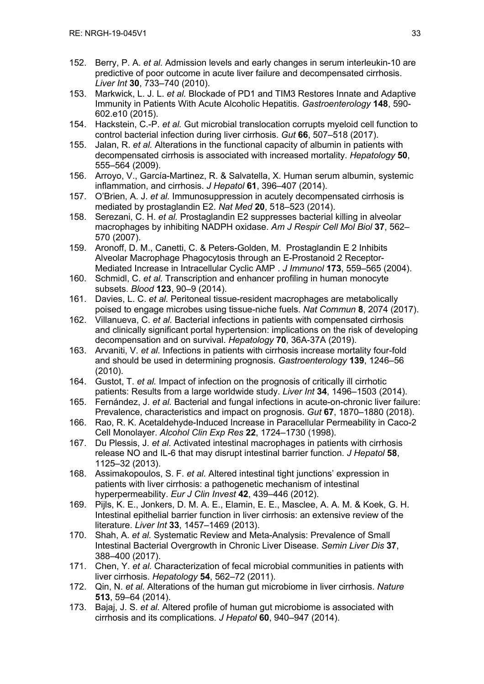- 152. Berry, P. A. *et al.* Admission levels and early changes in serum interleukin-10 are predictive of poor outcome in acute liver failure and decompensated cirrhosis. *Liver Int* **30**, 733–740 (2010).
- 153. Markwick, L. J. L. *et al.* Blockade of PD1 and TIM3 Restores Innate and Adaptive Immunity in Patients With Acute Alcoholic Hepatitis. *Gastroenterology* **148**, 590- 602.e10 (2015).
- 154. Hackstein, C.-P. *et al.* Gut microbial translocation corrupts myeloid cell function to control bacterial infection during liver cirrhosis. *Gut* **66**, 507–518 (2017).
- 155. Jalan, R. *et al.* Alterations in the functional capacity of albumin in patients with decompensated cirrhosis is associated with increased mortality. *Hepatology* **50**, 555–564 (2009).
- 156. Arroyo, V., García-Martinez, R. & Salvatella, X. Human serum albumin, systemic inflammation, and cirrhosis. *J Hepatol* **61**, 396–407 (2014).
- 157. O'Brien, A. J. *et al.* Immunosuppression in acutely decompensated cirrhosis is mediated by prostaglandin E2. *Nat Med* **20**, 518–523 (2014).
- 158. Serezani, C. H. *et al.* Prostaglandin E2 suppresses bacterial killing in alveolar macrophages by inhibiting NADPH oxidase. *Am J Respir Cell Mol Biol* **37**, 562– 570 (2007).
- 159. Aronoff, D. M., Canetti, C. & Peters-Golden, M. Prostaglandin E 2 Inhibits Alveolar Macrophage Phagocytosis through an E-Prostanoid 2 Receptor-Mediated Increase in Intracellular Cyclic AMP . *J Immunol* **173**, 559–565 (2004).
- 160. Schmidl, C. *et al.* Transcription and enhancer profiling in human monocyte subsets. *Blood* **123**, 90–9 (2014).
- 161. Davies, L. C. *et al.* Peritoneal tissue-resident macrophages are metabolically poised to engage microbes using tissue-niche fuels. *Nat Commun* **8**, 2074 (2017).
- 162. Villanueva, C. *et al.* Bacterial infections in patients with compensated cirrhosis and clinically significant portal hypertension: implications on the risk of developing decompensation and on survival. *Hepatology* **70**, 36A-37A (2019).
- 163. Arvaniti, V. *et al.* Infections in patients with cirrhosis increase mortality four-fold and should be used in determining prognosis. *Gastroenterology* **139**, 1246–56 (2010).
- 164. Gustot, T. *et al.* Impact of infection on the prognosis of critically ill cirrhotic patients: Results from a large worldwide study. *Liver Int* **34**, 1496–1503 (2014).
- 165. Fernández, J. *et al.* Bacterial and fungal infections in acute-on-chronic liver failure: Prevalence, characteristics and impact on prognosis. *Gut* **67**, 1870–1880 (2018).
- 166. Rao, R. K. Acetaldehyde-Induced Increase in Paracellular Permeability in Caco-2 Cell Monolayer. *Alcohol Clin Exp Res* **22**, 1724–1730 (1998).
- 167. Du Plessis, J. *et al.* Activated intestinal macrophages in patients with cirrhosis release NO and IL-6 that may disrupt intestinal barrier function. *J Hepatol* **58**, 1125–32 (2013).
- 168. Assimakopoulos, S. F. *et al.* Altered intestinal tight junctions' expression in patients with liver cirrhosis: a pathogenetic mechanism of intestinal hyperpermeability. *Eur J Clin Invest* **42**, 439–446 (2012).
- 169. Pijls, K. E., Jonkers, D. M. A. E., Elamin, E. E., Masclee, A. A. M. & Koek, G. H. Intestinal epithelial barrier function in liver cirrhosis: an extensive review of the literature. *Liver Int* **33**, 1457–1469 (2013).
- 170. Shah, A. *et al.* Systematic Review and Meta-Analysis: Prevalence of Small Intestinal Bacterial Overgrowth in Chronic Liver Disease. *Semin Liver Dis* **37**, 388–400 (2017).
- 171. Chen, Y. *et al.* Characterization of fecal microbial communities in patients with liver cirrhosis. *Hepatology* **54**, 562–72 (2011).
- 172. Qin, N. *et al.* Alterations of the human gut microbiome in liver cirrhosis. *Nature* **513**, 59–64 (2014).
- 173. Bajaj, J. S. *et al.* Altered profile of human gut microbiome is associated with cirrhosis and its complications. *J Hepatol* **60**, 940–947 (2014).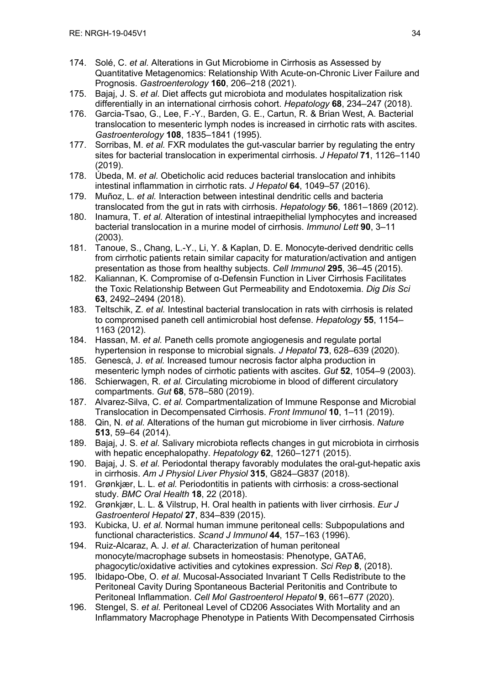- 174. Solé, C. *et al.* Alterations in Gut Microbiome in Cirrhosis as Assessed by Quantitative Metagenomics: Relationship With Acute-on-Chronic Liver Failure and Prognosis. *Gastroenterology* **160**, 206–218 (2021).
- 175. Bajaj, J. S. *et al.* Diet affects gut microbiota and modulates hospitalization risk differentially in an international cirrhosis cohort. *Hepatology* **68**, 234–247 (2018).
- 176. Garcia-Tsao, G., Lee, F.-Y., Barden, G. E., Cartun, R. & Brian West, A. Bacterial translocation to mesenteric lymph nodes is increased in cirrhotic rats with ascites. *Gastroenterology* **108**, 1835–1841 (1995).
- 177. Sorribas, M. *et al.* FXR modulates the gut-vascular barrier by regulating the entry sites for bacterial translocation in experimental cirrhosis. *J Hepatol* **71**, 1126–1140 (2019).
- 178. Úbeda, M. *et al.* Obeticholic acid reduces bacterial translocation and inhibits intestinal inflammation in cirrhotic rats. *J Hepatol* **64**, 1049–57 (2016).
- 179. Muñoz, L. *et al.* Interaction between intestinal dendritic cells and bacteria translocated from the gut in rats with cirrhosis. *Hepatology* **56**, 1861–1869 (2012).
- 180. Inamura, T. *et al.* Alteration of intestinal intraepithelial lymphocytes and increased bacterial translocation in a murine model of cirrhosis. *Immunol Lett* **90**, 3–11 (2003).
- 181. Tanoue, S., Chang, L.-Y., Li, Y. & Kaplan, D. E. Monocyte-derived dendritic cells from cirrhotic patients retain similar capacity for maturation/activation and antigen presentation as those from healthy subjects. *Cell Immunol* **295**, 36–45 (2015).
- 182. Kaliannan, K. Compromise of α-Defensin Function in Liver Cirrhosis Facilitates the Toxic Relationship Between Gut Permeability and Endotoxemia. *Dig Dis Sci* **63**, 2492–2494 (2018).
- 183. Teltschik, Z. *et al.* Intestinal bacterial translocation in rats with cirrhosis is related to compromised paneth cell antimicrobial host defense. *Hepatology* **55**, 1154– 1163 (2012).
- 184. Hassan, M. *et al.* Paneth cells promote angiogenesis and regulate portal hypertension in response to microbial signals. *J Hepatol* **73**, 628–639 (2020).
- 185. Genescà, J. *et al.* Increased tumour necrosis factor alpha production in mesenteric lymph nodes of cirrhotic patients with ascites. *Gut* **52**, 1054–9 (2003).
- 186. Schierwagen, R. *et al.* Circulating microbiome in blood of different circulatory compartments. *Gut* **68**, 578–580 (2019).
- 187. Alvarez-Silva, C. *et al.* Compartmentalization of Immune Response and Microbial Translocation in Decompensated Cirrhosis. *Front Immunol* **10**, 1–11 (2019).
- 188. Qin, N. *et al.* Alterations of the human gut microbiome in liver cirrhosis. *Nature* **513**, 59–64 (2014).
- 189. Bajaj, J. S. *et al.* Salivary microbiota reflects changes in gut microbiota in cirrhosis with hepatic encephalopathy. *Hepatology* **62**, 1260–1271 (2015).
- 190. Bajaj, J. S. *et al.* Periodontal therapy favorably modulates the oral-gut-hepatic axis in cirrhosis. *Am J Physiol Liver Physiol* **315**, G824–G837 (2018).
- 191. Grønkjær, L. L. *et al.* Periodontitis in patients with cirrhosis: a cross-sectional study. *BMC Oral Health* **18**, 22 (2018).
- 192. Grønkjær, L. L. & Vilstrup, H. Oral health in patients with liver cirrhosis. *Eur J Gastroenterol Hepatol* **27**, 834–839 (2015).
- 193. Kubicka, U. *et al.* Normal human immune peritoneal cells: Subpopulations and functional characteristics. *Scand J Immunol* **44**, 157–163 (1996).
- 194. Ruiz-Alcaraz, A. J. *et al.* Characterization of human peritoneal monocyte/macrophage subsets in homeostasis: Phenotype, GATA6, phagocytic/oxidative activities and cytokines expression. *Sci Rep* **8**, (2018).
- 195. Ibidapo-Obe, O. *et al.* Mucosal-Associated Invariant T Cells Redistribute to the Peritoneal Cavity During Spontaneous Bacterial Peritonitis and Contribute to Peritoneal Inflammation. *Cell Mol Gastroenterol Hepatol* **9**, 661–677 (2020).
- 196. Stengel, S. *et al.* Peritoneal Level of CD206 Associates With Mortality and an Inflammatory Macrophage Phenotype in Patients With Decompensated Cirrhosis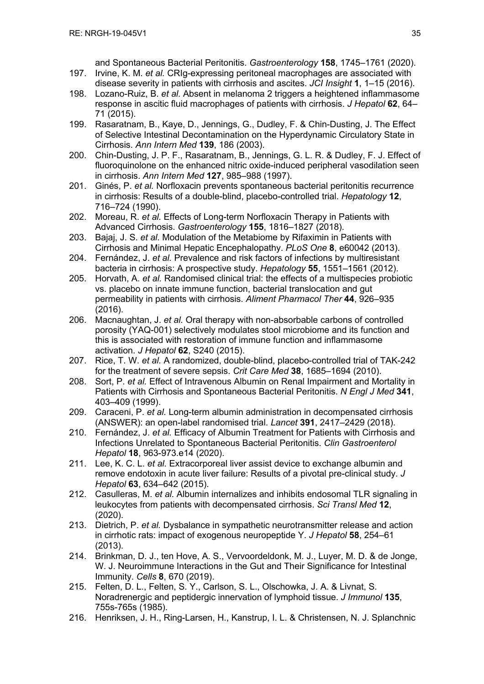and Spontaneous Bacterial Peritonitis. *Gastroenterology* **158**, 1745–1761 (2020). 197. Irvine, K. M. *et al.* CRIg-expressing peritoneal macrophages are associated with

- disease severity in patients with cirrhosis and ascites. *JCI Insight* **1**, 1–15 (2016).
- 198. Lozano-Ruiz, B. *et al.* Absent in melanoma 2 triggers a heightened inflammasome response in ascitic fluid macrophages of patients with cirrhosis. *J Hepatol* **62**, 64– 71 (2015).
- 199. Rasaratnam, B., Kaye, D., Jennings, G., Dudley, F. & Chin-Dusting, J. The Effect of Selective Intestinal Decontamination on the Hyperdynamic Circulatory State in Cirrhosis. *Ann Intern Med* **139**, 186 (2003).
- 200. Chin-Dusting, J. P. F., Rasaratnam, B., Jennings, G. L. R. & Dudley, F. J. Effect of fluoroquinolone on the enhanced nitric oxide-induced peripheral vasodilation seen in cirrhosis. *Ann Intern Med* **127**, 985–988 (1997).
- 201. Ginés, P. *et al.* Norfloxacin prevents spontaneous bacterial peritonitis recurrence in cirrhosis: Results of a double-blind, placebo-controlled trial. *Hepatology* **12**, 716–724 (1990).
- 202. Moreau, R. *et al.* Effects of Long-term Norfloxacin Therapy in Patients with Advanced Cirrhosis. *Gastroenterology* **155**, 1816–1827 (2018).
- 203. Bajaj, J. S. *et al.* Modulation of the Metabiome by Rifaximin in Patients with Cirrhosis and Minimal Hepatic Encephalopathy. *PLoS One* **8**, e60042 (2013).
- 204. Fernández, J. *et al.* Prevalence and risk factors of infections by multiresistant bacteria in cirrhosis: A prospective study. *Hepatology* **55**, 1551–1561 (2012).
- 205. Horvath, A. *et al.* Randomised clinical trial: the effects of a multispecies probiotic vs. placebo on innate immune function, bacterial translocation and gut permeability in patients with cirrhosis. *Aliment Pharmacol Ther* **44**, 926–935 (2016).
- 206. Macnaughtan, J. *et al.* Oral therapy with non-absorbable carbons of controlled porosity (YAQ-001) selectively modulates stool microbiome and its function and this is associated with restoration of immune function and inflammasome activation. *J Hepatol* **62**, S240 (2015).
- 207. Rice, T. W. *et al.* A randomized, double-blind, placebo-controlled trial of TAK-242 for the treatment of severe sepsis. *Crit Care Med* **38**, 1685–1694 (2010).
- 208. Sort, P. *et al.* Effect of Intravenous Albumin on Renal Impairment and Mortality in Patients with Cirrhosis and Spontaneous Bacterial Peritonitis. *N Engl J Med* **341**, 403–409 (1999).
- 209. Caraceni, P. *et al.* Long-term albumin administration in decompensated cirrhosis (ANSWER): an open-label randomised trial. *Lancet* **391**, 2417–2429 (2018).
- 210. Fernández, J. *et al.* Efficacy of Albumin Treatment for Patients with Cirrhosis and Infections Unrelated to Spontaneous Bacterial Peritonitis. *Clin Gastroenterol Hepatol* **18**, 963-973.e14 (2020).
- 211. Lee, K. C. L. *et al.* Extracorporeal liver assist device to exchange albumin and remove endotoxin in acute liver failure: Results of a pivotal pre-clinical study. *J Hepatol* **63**, 634–642 (2015).
- 212. Casulleras, M. *et al.* Albumin internalizes and inhibits endosomal TLR signaling in leukocytes from patients with decompensated cirrhosis. *Sci Transl Med* **12**, (2020).
- 213. Dietrich, P. *et al.* Dysbalance in sympathetic neurotransmitter release and action in cirrhotic rats: impact of exogenous neuropeptide Y. *J Hepatol* **58**, 254–61 (2013).
- 214. Brinkman, D. J., ten Hove, A. S., Vervoordeldonk, M. J., Luyer, M. D. & de Jonge, W. J. Neuroimmune Interactions in the Gut and Their Significance for Intestinal Immunity. *Cells* **8**, 670 (2019).
- 215. Felten, D. L., Felten, S. Y., Carlson, S. L., Olschowka, J. A. & Livnat, S. Noradrenergic and peptidergic innervation of lymphoid tissue. *J Immunol* **135**, 755s-765s (1985).
- 216. Henriksen, J. H., Ring-Larsen, H., Kanstrup, I. L. & Christensen, N. J. Splanchnic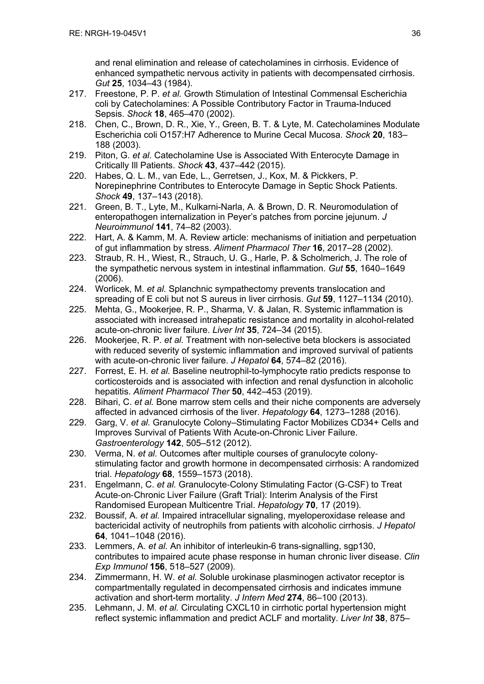and renal elimination and release of catecholamines in cirrhosis. Evidence of enhanced sympathetic nervous activity in patients with decompensated cirrhosis. *Gut* **25**, 1034–43 (1984).

- 217. Freestone, P. P. *et al.* Growth Stimulation of Intestinal Commensal Escherichia coli by Catecholamines: A Possible Contributory Factor in Trauma-Induced Sepsis. *Shock* **18**, 465–470 (2002).
- 218. Chen, C., Brown, D. R., Xie, Y., Green, B. T. & Lyte, M. Catecholamines Modulate Escherichia coli O157:H7 Adherence to Murine Cecal Mucosa. *Shock* **20**, 183– 188 (2003).
- 219. Piton, G. *et al.* Catecholamine Use is Associated With Enterocyte Damage in Critically Ill Patients. *Shock* **43**, 437–442 (2015).
- 220. Habes, Q. L. M., van Ede, L., Gerretsen, J., Kox, M. & Pickkers, P. Norepinephrine Contributes to Enterocyte Damage in Septic Shock Patients. *Shock* **49**, 137–143 (2018).
- 221. Green, B. T., Lyte, M., Kulkarni-Narla, A. & Brown, D. R. Neuromodulation of enteropathogen internalization in Peyer's patches from porcine jejunum. *J Neuroimmunol* **141**, 74–82 (2003).
- 222. Hart, A. & Kamm, M. A. Review article: mechanisms of initiation and perpetuation of gut inflammation by stress. *Aliment Pharmacol Ther* **16**, 2017–28 (2002).
- 223. Straub, R. H., Wiest, R., Strauch, U. G., Harle, P. & Scholmerich, J. The role of the sympathetic nervous system in intestinal inflammation. *Gut* **55**, 1640–1649 (2006).
- 224. Worlicek, M. *et al.* Splanchnic sympathectomy prevents translocation and spreading of E coli but not S aureus in liver cirrhosis. *Gut* **59**, 1127–1134 (2010).
- 225. Mehta, G., Mookerjee, R. P., Sharma, V. & Jalan, R. Systemic inflammation is associated with increased intrahepatic resistance and mortality in alcohol-related acute-on-chronic liver failure. *Liver Int* **35**, 724–34 (2015).
- 226. Mookerjee, R. P. *et al.* Treatment with non-selective beta blockers is associated with reduced severity of systemic inflammation and improved survival of patients with acute-on-chronic liver failure. *J Hepatol* **64**, 574–82 (2016).
- 227. Forrest, E. H. *et al.* Baseline neutrophil-to-lymphocyte ratio predicts response to corticosteroids and is associated with infection and renal dysfunction in alcoholic hepatitis. *Aliment Pharmacol Ther* **50**, 442–453 (2019).
- 228. Bihari, C. *et al.* Bone marrow stem cells and their niche components are adversely affected in advanced cirrhosis of the liver. *Hepatology* **64**, 1273–1288 (2016).
- 229. Garg, V. *et al.* Granulocyte Colony–Stimulating Factor Mobilizes CD34+ Cells and Improves Survival of Patients With Acute-on-Chronic Liver Failure. *Gastroenterology* **142**, 505–512 (2012).
- 230. Verma, N. *et al.* Outcomes after multiple courses of granulocyte colonystimulating factor and growth hormone in decompensated cirrhosis: A randomized trial. *Hepatology* **68**, 1559–1573 (2018).
- 231. Engelmann, C. *et al.* Granulocyte-Colony Stimulating Factor (G-CSF) to Treat Acute-on-Chronic Liver Failure (Graft Trial): Interim Analysis of the First Randomised European Multicentre Trial. *Hepatology* **70**, 17 (2019).
- 232. Boussif, A. *et al.* Impaired intracellular signaling, myeloperoxidase release and bactericidal activity of neutrophils from patients with alcoholic cirrhosis. *J Hepatol* **64**, 1041–1048 (2016).
- 233. Lemmers, A. *et al.* An inhibitor of interleukin-6 trans-signalling, sgp130, contributes to impaired acute phase response in human chronic liver disease. *Clin Exp Immunol* **156**, 518–527 (2009).
- 234. Zimmermann, H. W. *et al.* Soluble urokinase plasminogen activator receptor is compartmentally regulated in decompensated cirrhosis and indicates immune activation and short-term mortality. *J Intern Med* **274**, 86–100 (2013).
- 235. Lehmann, J. M. *et al.* Circulating CXCL10 in cirrhotic portal hypertension might reflect systemic inflammation and predict ACLF and mortality. *Liver Int* **38**, 875–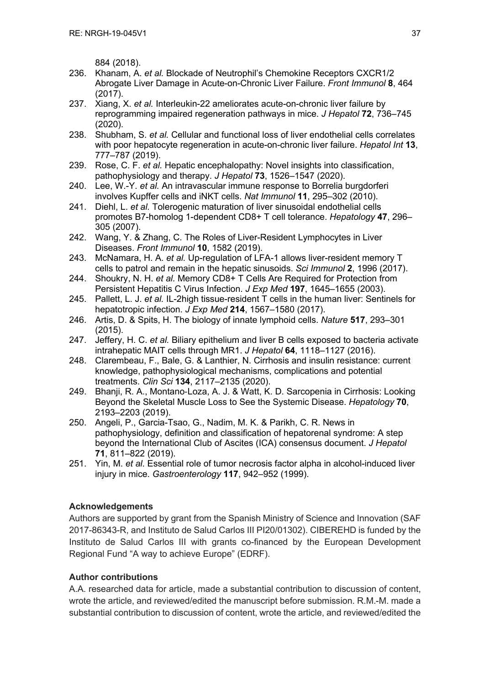884 (2018).

- 236. Khanam, A. *et al.* Blockade of Neutrophil's Chemokine Receptors CXCR1/2 Abrogate Liver Damage in Acute-on-Chronic Liver Failure. *Front Immunol* **8**, 464 (2017).
- 237. Xiang, X. *et al.* Interleukin-22 ameliorates acute-on-chronic liver failure by reprogramming impaired regeneration pathways in mice. *J Hepatol* **72**, 736–745 (2020).
- 238. Shubham, S. *et al.* Cellular and functional loss of liver endothelial cells correlates with poor hepatocyte regeneration in acute-on-chronic liver failure. *Hepatol Int* **13**, 777–787 (2019).
- 239. Rose, C. F. *et al.* Hepatic encephalopathy: Novel insights into classification, pathophysiology and therapy. *J Hepatol* **73**, 1526–1547 (2020).
- 240. Lee, W.-Y. *et al.* An intravascular immune response to Borrelia burgdorferi involves Kupffer cells and iNKT cells. *Nat Immunol* **11**, 295–302 (2010).
- 241. Diehl, L. *et al.* Tolerogenic maturation of liver sinusoidal endothelial cells promotes B7-homolog 1-dependent CD8+ T cell tolerance. *Hepatology* **47**, 296– 305 (2007).
- 242. Wang, Y. & Zhang, C. The Roles of Liver-Resident Lymphocytes in Liver Diseases. *Front Immunol* **10**, 1582 (2019).
- 243. McNamara, H. A. *et al.* Up-regulation of LFA-1 allows liver-resident memory T cells to patrol and remain in the hepatic sinusoids. *Sci Immunol* **2**, 1996 (2017).
- 244. Shoukry, N. H. *et al.* Memory CD8+ T Cells Are Required for Protection from Persistent Hepatitis C Virus Infection. *J Exp Med* **197**, 1645–1655 (2003).
- 245. Pallett, L. J. *et al.* IL-2high tissue-resident T cells in the human liver: Sentinels for hepatotropic infection. *J Exp Med* **214**, 1567–1580 (2017).
- 246. Artis, D. & Spits, H. The biology of innate lymphoid cells. *Nature* **517**, 293–301 (2015).
- 247. Jeffery, H. C. *et al.* Biliary epithelium and liver B cells exposed to bacteria activate intrahepatic MAIT cells through MR1. *J Hepatol* **64**, 1118–1127 (2016).
- 248. Clarembeau, F., Bale, G. & Lanthier, N. Cirrhosis and insulin resistance: current knowledge, pathophysiological mechanisms, complications and potential treatments. *Clin Sci* **134**, 2117–2135 (2020).
- 249. Bhanji, R. A., Montano-Loza, A. J. & Watt, K. D. Sarcopenia in Cirrhosis: Looking Beyond the Skeletal Muscle Loss to See the Systemic Disease. *Hepatology* **70**, 2193–2203 (2019).
- 250. Angeli, P., Garcia-Tsao, G., Nadim, M. K. & Parikh, C. R. News in pathophysiology, definition and classification of hepatorenal syndrome: A step beyond the International Club of Ascites (ICA) consensus document. *J Hepatol* **71**, 811–822 (2019).
- 251. Yin, M. *et al.* Essential role of tumor necrosis factor alpha in alcohol-induced liver injury in mice. *Gastroenterology* **117**, 942–952 (1999).

# **Acknowledgements**

Authors are supported by grant from the Spanish Ministry of Science and Innovation (SAF 2017-86343-R, and Instituto de Salud Carlos III PI20/01302). CIBEREHD is funded by the Instituto de Salud Carlos III with grants co-financed by the European Development Regional Fund "A way to achieve Europe" (EDRF).

# **Author contributions**

A.A. researched data for article, made a substantial contribution to discussion of content, wrote the article, and reviewed/edited the manuscript before submission. R.M.-M. made a substantial contribution to discussion of content, wrote the article, and reviewed/edited the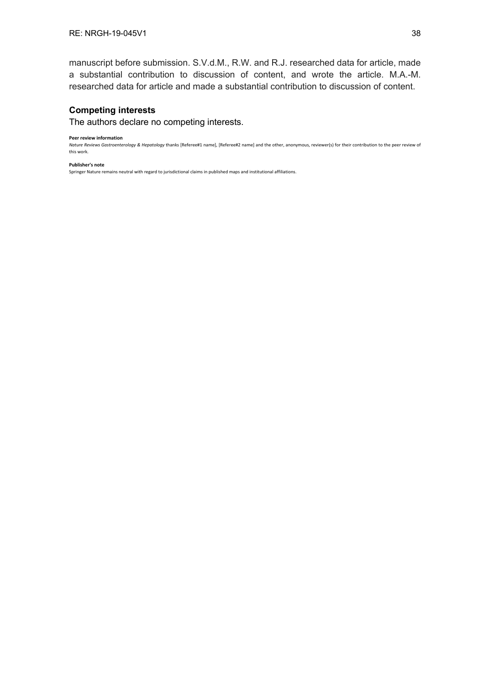manuscript before submission. S.V.d.M., R.W. and R.J. researched data for article, made a substantial contribution to discussion of content, and wrote the article. M.A.-M. researched data for article and made a substantial contribution to discussion of content.

#### **Competing interests**

The authors declare no competing interests.

#### **Peer review information**

*Nature Reviews Gastroenterology & Hepatology* thanks [Referee#1 name], [Referee#2 name] and the other, anonymous, reviewer(s) for their contribution to the peer review of this work.

#### **Publisher's note**

Springer Nature remains neutral with regard to jurisdictional claims in published maps and institutional affiliations.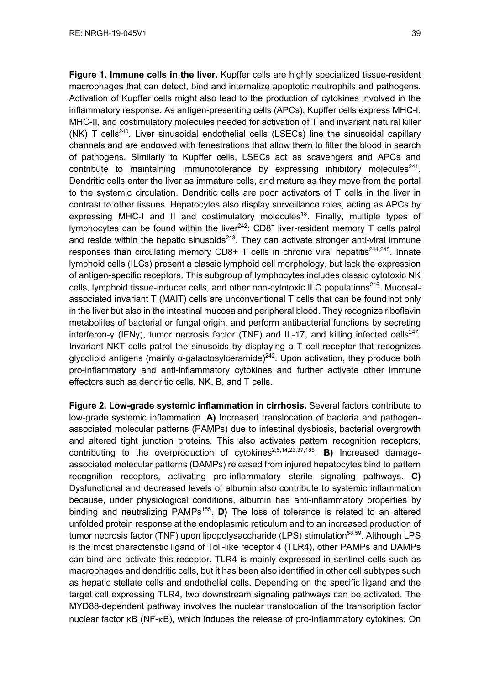**Figure 1. Immune cells in the liver.** Kupffer cells are highly specialized tissue-resident macrophages that can detect, bind and internalize apoptotic neutrophils and pathogens. Activation of Kupffer cells might also lead to the production of cytokines involved in the inflammatory response. As antigen-presenting cells (APCs), Kupffer cells express MHC-I, MHC-II, and costimulatory molecules needed for activation of T and invariant natural killer (NK) T cells<sup>240</sup>. Liver sinusoidal endothelial cells (LSECs) line the sinusoidal capillary channels and are endowed with fenestrations that allow them to filter the blood in search of pathogens. Similarly to Kupffer cells, LSECs act as scavengers and APCs and contribute to maintaining immunotolerance by expressing inhibitory molecules<sup>241</sup>. Dendritic cells enter the liver as immature cells, and mature as they move from the portal to the systemic circulation. Dendritic cells are poor activators of T cells in the liver in contrast to other tissues. Hepatocytes also display surveillance roles, acting as APCs by expressing MHC-I and II and costimulatory molecules<sup>18</sup>. Finally, multiple types of lymphocytes can be found within the liver $242$ : CD8<sup>+</sup> liver-resident memory T cells patrol and reside within the hepatic sinusoids<sup>243</sup>. They can activate stronger anti-viral immune responses than circulating memory CD8+ T cells in chronic viral hepatitis<sup>244,245</sup>. Innate lymphoid cells (ILCs) present a classic lymphoid cell morphology, but lack the expression of antigen-specific receptors. This subgroup of lymphocytes includes classic cytotoxic NK cells, lymphoid tissue-inducer cells, and other non-cytotoxic ILC populations<sup>246</sup>. Mucosalassociated invariant T (MAIT) cells are unconventional T cells that can be found not only in the liver but also in the intestinal mucosa and peripheral blood. They recognize riboflavin metabolites of bacterial or fungal origin, and perform antibacterial functions by secreting interferon-γ (IFNγ), tumor necrosis factor (TNF) and IL-17, and killing infected cells<sup>247</sup>. Invariant NKT cells patrol the sinusoids by displaying a T cell receptor that recognizes glycolipid antigens (mainly α-galactosylceramide)<sup>242</sup>. Upon activation, they produce both pro-inflammatory and anti-inflammatory cytokines and further activate other immune effectors such as dendritic cells, NK, B, and T cells.

**Figure 2. Low-grade systemic inflammation in cirrhosis.** Several factors contribute to low-grade systemic inflammation. **A)** Increased translocation of bacteria and pathogenassociated molecular patterns (PAMPs) due to intestinal dysbiosis, bacterial overgrowth and altered tight junction proteins. This also activates pattern recognition receptors, contributing to the overproduction of cytokines<sup>2,5,14,23,37,185</sup>. **B)** Increased damageassociated molecular patterns (DAMPs) released from injured hepatocytes bind to pattern recognition receptors, activating pro-inflammatory sterile signaling pathways. **C)** Dysfunctional and decreased levels of albumin also contribute to systemic inflammation because, under physiological conditions, albumin has anti-inflammatory properties by binding and neutralizing PAMPs<sup>155</sup>. **D**) The loss of tolerance is related to an altered unfolded protein response at the endoplasmic reticulum and to an increased production of tumor necrosis factor (TNF) upon lipopolysaccharide (LPS) stimulation<sup>58,59</sup>. Although LPS is the most characteristic ligand of Toll-like receptor 4 (TLR4), other PAMPs and DAMPs can bind and activate this receptor. TLR4 is mainly expressed in sentinel cells such as macrophages and dendritic cells, but it has been also identified in other cell subtypes such as hepatic stellate cells and endothelial cells. Depending on the specific ligand and the target cell expressing TLR4, two downstream signaling pathways can be activated. The MYD88-dependent pathway involves the nuclear translocation of the transcription factor nuclear factor κB (NF-kB), which induces the release of pro-inflammatory cytokines. On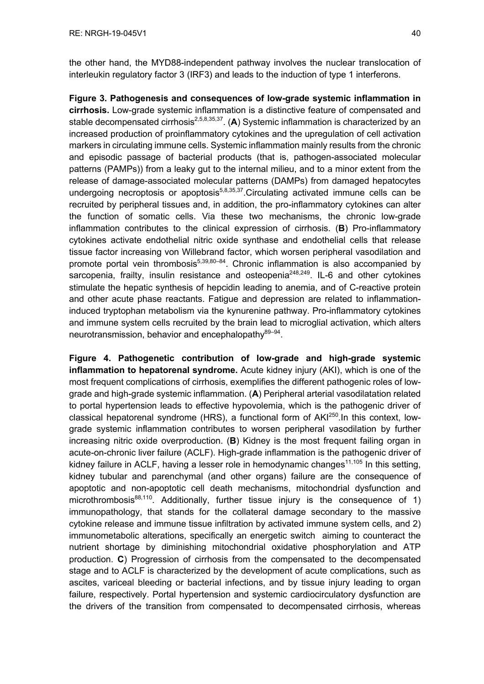the other hand, the MYD88-independent pathway involves the nuclear translocation of interleukin regulatory factor 3 (IRF3) and leads to the induction of type 1 interferons.

**Figure 3. Pathogenesis and consequences of low-grade systemic inflammation in cirrhosis.** Low-grade systemic inflammation is a distinctive feature of compensated and stable decompensated cirrhosis<sup>2,5,8,35,37</sup>. (A) Systemic inflammation is characterized by an increased production of proinflammatory cytokines and the upregulation of cell activation markers in circulating immune cells. Systemic inflammation mainly results from the chronic and episodic passage of bacterial products (that is, pathogen-associated molecular patterns (PAMPs)) from a leaky gut to the internal milieu, and to a minor extent from the release of damage-associated molecular patterns (DAMPs) from damaged hepatocytes undergoing necroptosis or apoptosis<sup>5,8,35,37</sup>. Circulating activated immune cells can be recruited by peripheral tissues and, in addition, the pro-inflammatory cytokines can alter the function of somatic cells. Via these two mechanisms, the chronic low-grade inflammation contributes to the clinical expression of cirrhosis. (**B**) Pro-inflammatory cytokines activate endothelial nitric oxide synthase and endothelial cells that release tissue factor increasing von Willebrand factor, which worsen peripheral vasodilation and promote portal vein thrombosis $5,39,80-84$ . Chronic inflammation is also accompanied by sarcopenia, frailty, insulin resistance and osteopenia<sup>248,249</sup>. IL-6 and other cytokines stimulate the hepatic synthesis of hepcidin leading to anemia, and of C-reactive protein and other acute phase reactants. Fatigue and depression are related to inflammationinduced tryptophan metabolism via the kynurenine pathway. Pro-inflammatory cytokines and immune system cells recruited by the brain lead to microglial activation, which alters neurotransmission, behavior and encephalopathy<sup>89–94</sup>.

**Figure 4. Pathogenetic contribution of low-grade and high-grade systemic inflammation to hepatorenal syndrome.** Acute kidney injury (AKI), which is one of the most frequent complications of cirrhosis, exemplifies the different pathogenic roles of lowgrade and high-grade systemic inflammation. (**A**) Peripheral arterial vasodilatation related to portal hypertension leads to effective hypovolemia, which is the pathogenic driver of classical hepatorenal syndrome (HRS), a functional form of AKI<sup>250</sup>. In this context. lowgrade systemic inflammation contributes to worsen peripheral vasodilation by further increasing nitric oxide overproduction. (**B**) Kidney is the most frequent failing organ in acute-on-chronic liver failure (ACLF). High-grade inflammation is the pathogenic driver of kidney failure in ACLF, having a lesser role in hemodynamic changes<sup>11,105</sup> In this setting, kidney tubular and parenchymal (and other organs) failure are the consequence of apoptotic and non-apoptotic cell death mechanisms, mitochondrial dysfunction and microthrombosis<sup>88,110</sup>. Additionally, further tissue injury is the consequence of 1) immunopathology, that stands for the collateral damage secondary to the massive cytokine release and immune tissue infiltration by activated immune system cells, and 2) immunometabolic alterations, specifically an energetic switch aiming to counteract the nutrient shortage by diminishing mitochondrial oxidative phosphorylation and ATP production. **C**) Progression of cirrhosis from the compensated to the decompensated stage and to ACLF is characterized by the development of acute complications, such as ascites, variceal bleeding or bacterial infections, and by tissue injury leading to organ failure, respectively. Portal hypertension and systemic cardiocirculatory dysfunction are the drivers of the transition from compensated to decompensated cirrhosis, whereas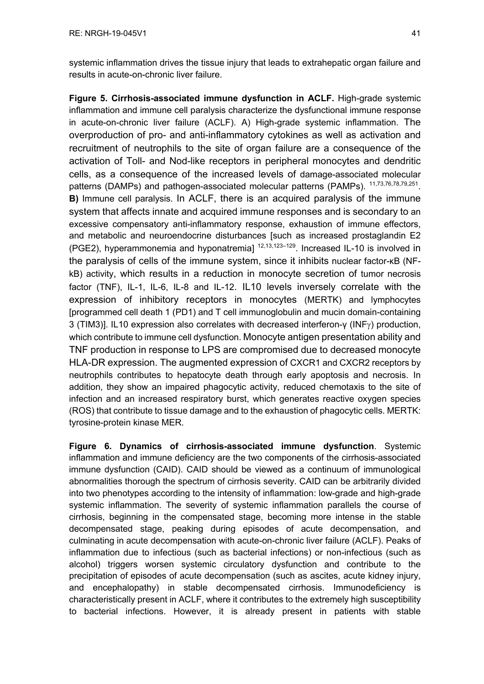systemic inflammation drives the tissue injury that leads to extrahepatic organ failure and results in acute-on-chronic liver failure.

**Figure 5. Cirrhosis-associated immune dysfunction in ACLF.** High-grade systemic inflammation and immune cell paralysis characterize the dysfunctional immune response in acute-on-chronic liver failure (ACLF). A) High-grade systemic inflammation. The overproduction of pro- and anti-inflammatory cytokines as well as activation and recruitment of neutrophils to the site of organ failure are a consequence of the activation of Toll- and Nod-like receptors in peripheral monocytes and dendritic cells, as a consequence of the increased levels of damage-associated molecular patterns (DAMPs) and pathogen-associated molecular patterns (PAMPs). <sup>11,73,76,78,79,251</sup>. **B)** Immune cell paralysis. In ACLF, there is an acquired paralysis of the immune system that affects innate and acquired immune responses and is secondary to an excessive compensatory anti-inflammatory response, exhaustion of immune effectors, and metabolic and neuroendocrine disturbances [such as increased prostaglandin E2 (PGE2), hyperammonemia and hyponatremial  $12,13,123-129$ . Increased IL-10 is involved in the paralysis of cells of the immune system, since it inhibits nuclear factor-κB (NFkB) activity, which results in a reduction in monocyte secretion of tumor necrosis factor (TNF), IL-1, IL-6, IL-8 and IL-12. IL10 levels inversely correlate with the expression of inhibitory receptors in monocytes (MERTK) and lymphocytes [programmed cell death 1 (PD1) and T cell immunoglobulin and mucin domain-containing 3 (TIM3)]. IL10 expression also correlates with decreased interferon-γ (INFg) production, which contribute to immune cell dysfunction. Monocyte antigen presentation ability and TNF production in response to LPS are compromised due to decreased monocyte HLA-DR expression. The augmented expression of CXCR1 and CXCR2 receptors by neutrophils contributes to hepatocyte death through early apoptosis and necrosis. In addition, they show an impaired phagocytic activity, reduced chemotaxis to the site of infection and an increased respiratory burst, which generates reactive oxygen species (ROS) that contribute to tissue damage and to the exhaustion of phagocytic cells. MERTK: tyrosine-protein kinase MER.

**Figure 6. Dynamics of cirrhosis-associated immune dysfunction**. Systemic inflammation and immune deficiency are the two components of the cirrhosis-associated immune dysfunction (CAID). CAID should be viewed as a continuum of immunological abnormalities thorough the spectrum of cirrhosis severity. CAID can be arbitrarily divided into two phenotypes according to the intensity of inflammation: low-grade and high-grade systemic inflammation. The severity of systemic inflammation parallels the course of cirrhosis, beginning in the compensated stage, becoming more intense in the stable decompensated stage, peaking during episodes of acute decompensation, and culminating in acute decompensation with acute-on-chronic liver failure (ACLF). Peaks of inflammation due to infectious (such as bacterial infections) or non-infectious (such as alcohol) triggers worsen systemic circulatory dysfunction and contribute to the precipitation of episodes of acute decompensation (such as ascites, acute kidney injury, and encephalopathy) in stable decompensated cirrhosis. Immunodeficiency is characteristically present in ACLF, where it contributes to the extremely high susceptibility to bacterial infections. However, it is already present in patients with stable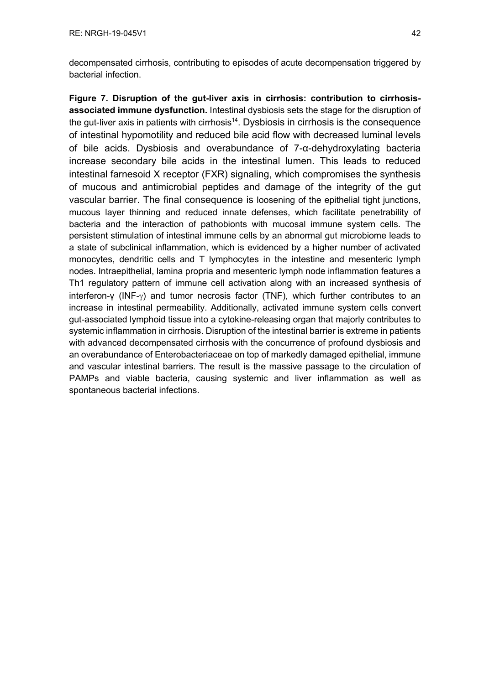decompensated cirrhosis, contributing to episodes of acute decompensation triggered by bacterial infection.

**Figure 7. Disruption of the gut-liver axis in cirrhosis: contribution to cirrhosisassociated immune dysfunction.** Intestinal dysbiosis sets the stage for the disruption of the gut-liver axis in patients with cirrhosis<sup>14</sup>. Dysbiosis in cirrhosis is the consequence of intestinal hypomotility and reduced bile acid flow with decreased luminal levels of bile acids. Dysbiosis and overabundance of 7-α-dehydroxylating bacteria increase secondary bile acids in the intestinal lumen. This leads to reduced intestinal farnesoid X receptor (FXR) signaling, which compromises the synthesis of mucous and antimicrobial peptides and damage of the integrity of the gut vascular barrier. The final consequence is loosening of the epithelial tight junctions, mucous layer thinning and reduced innate defenses, which facilitate penetrability of bacteria and the interaction of pathobionts with mucosal immune system cells. The persistent stimulation of intestinal immune cells by an abnormal gut microbiome leads to a state of subclinical inflammation, which is evidenced by a higher number of activated monocytes, dendritic cells and T lymphocytes in the intestine and mesenteric lymph nodes. Intraepithelial, lamina propria and mesenteric lymph node inflammation features a Th1 regulatory pattern of immune cell activation along with an increased synthesis of interferon-γ (INF-g) and tumor necrosis factor (TNF), which further contributes to an increase in intestinal permeability. Additionally, activated immune system cells convert gut-associated lymphoid tissue into a cytokine-releasing organ that majorly contributes to systemic inflammation in cirrhosis. Disruption of the intestinal barrier is extreme in patients with advanced decompensated cirrhosis with the concurrence of profound dysbiosis and an overabundance of Enterobacteriaceae on top of markedly damaged epithelial, immune and vascular intestinal barriers. The result is the massive passage to the circulation of PAMPs and viable bacteria, causing systemic and liver inflammation as well as spontaneous bacterial infections.